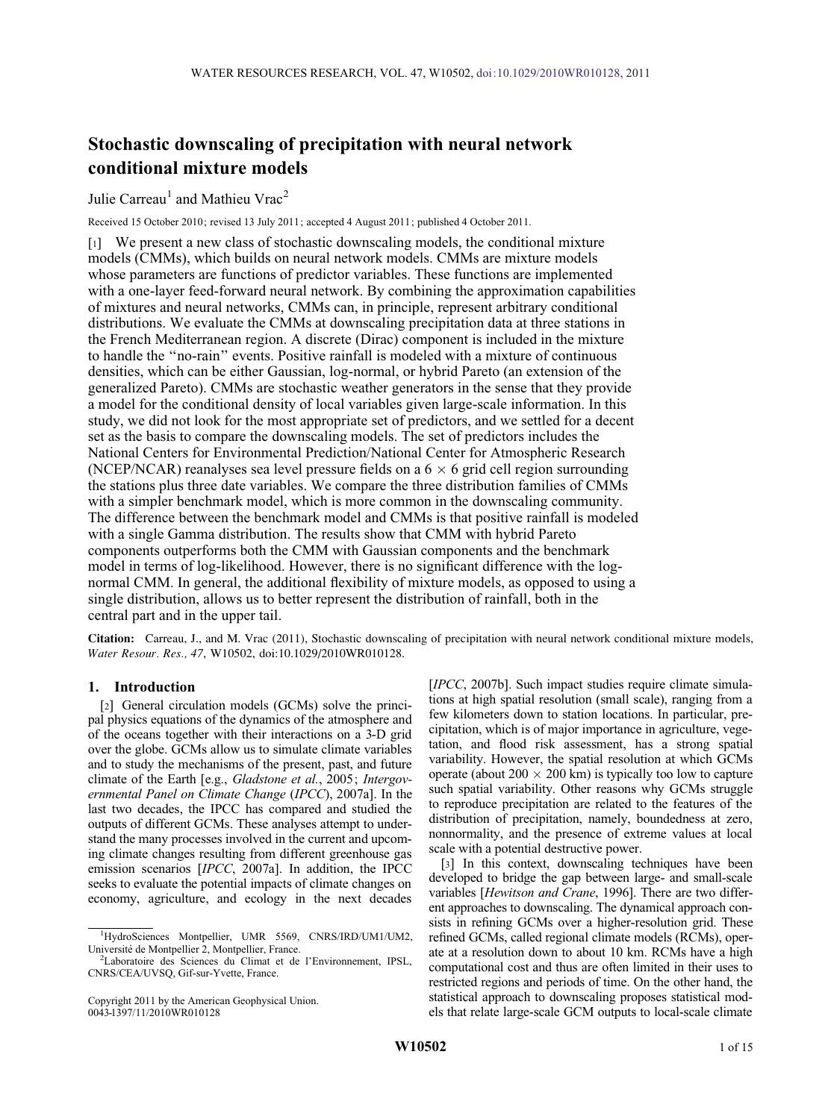# **Stochastic downscaling of precipitation with neural network conditional mixture models**

# Julie Carreau<sup>1</sup> and Mathieu Vrac<sup>2</sup>

Received 15 October 2010; revised 13 July 2011; accepted 4 August 2011; published 4 October 2011.

[1] We present a new class of stochastic downscaling models, the conditional mixture models (CMMs), which builds on neural network models. CMMs are mixture models whose parameters are functions of predictor variables. These functions are implemented with a one-layer feed-forward neural network. By combining the approximation capabilities of mixtures and neural networks, CMMs can, in principle, represent arbitrary conditional distributions. We evaluate the CMMs at downscaling precipitation data at three stations in the French Mediterranean region. A discrete (Dirac) component is included in the mixture to handle the ''no-rain'' events. Positive rainfall is modeled with a mixture of continuous densities, which can be either Gaussian, log-normal, or hybrid Pareto (an extension of the generalized Pareto). CMMs are stochastic weather generators in the sense that they provide a model for the conditional density of local variables given large-scale information. In this study, we did not look for the most appropriate set of predictors, and we settled for a decent set as the basis to compare the downscaling models. The set of predictors includes the National Centers for Environmental Prediction/National Center for Atmospheric Research (NCEP/NCAR) reanalyses sea level pressure fields on a  $6 \times 6$  grid cell region surrounding the stations plus three date variables. We compare the three distribution families of CMMs with a simpler benchmark model, which is more common in the downscaling community. The difference between the benchmark model and CMMs is that positive rainfall is modeled with a single Gamma distribution. The results show that CMM with hybrid Pareto components outperforms both the CMM with Gaussian components and the benchmark model in terms of log-likelihood. However, there is no significant difference with the lognormal CMM. In general, the additional flexibility of mixture models, as opposed to using a single distribution, allows us to better represent the distribution of rainfall, both in the central part and in the upper tail.

Citation: Carreau, J., and M. Vrac (2011), Stochastic downscaling of precipitation with neural network conditional mixture models, Water Resour. Res., 47, W10502, doi:10.1029/2010WR010128.

# **1. Introduction**

[2] General circulation models (GCMs) solve the principal physics equations of the dynamics of the atmosphere and of the oceans together with their interactions on a 3-D grid over the globe. GCMs allow us to simulate climate variables and to study the mechanisms of the present, past, and future climate of the Earth [e.g., *Gladstone et al.*, 2005; *Intergovernmental Panel on Climate Change* (*IPCC*), 2007a]. In the last two decades, the IPCC has compared and studied the outputs of different GCMs. These analyses attempt to understand the many processes involved in the current and upcoming climate changes resulting from different greenhouse gas emission scenarios [*IPCC*, 2007a]. In addition, the IPCC seeks to evaluate the potential impacts of climate changes on economy, agriculture, and ecology in the next decades

Copyright 2011 by the American Geophysical Union. 0043-1397/11/2010WR010128

[*IPCC*, 2007b]. Such impact studies require climate simulations at high spatial resolution (small scale), ranging from a few kilometers down to station locations. In particular, precipitation, which is of major importance in agriculture, vegetation, and flood risk assessment, has a strong spatial variability. However, the spatial resolution at which GCMs operate (about  $200 \times 200$  km) is typically too low to capture such spatial variability. Other reasons why GCMs struggle to reproduce precipitation are related to the features of the distribution of precipitation, namely, boundedness at zero, nonnormality, and the presence of extreme values at local scale with a potential destructive power.

[3] In this context, downscaling techniques have been developed to bridge the gap between large- and small-scale variables [*Hewitson and Crane*, 1996]. There are two different approaches to downscaling. The dynamical approach consists in refining GCMs over a higher-resolution grid. These refined GCMs, called regional climate models (RCMs), operate at a resolution down to about 10 km. RCMs have a high computational cost and thus are often limited in their uses to restricted regions and periods of time. On the other hand, the statistical approach to downscaling proposes statistical models that relate large-scale GCM outputs to local-scale climate

<sup>&</sup>lt;sup>1</sup>HydroSciences Montpellier, UMR 5569, CNRS/IRD/UM1/UM2, Université de Montpellier 2, Montpellier, France.

Laboratoire des Sciences du Climat et de l'Environnement, IPSL, CNRS/CEA/UVSQ, Gif-sur-Yvette, France.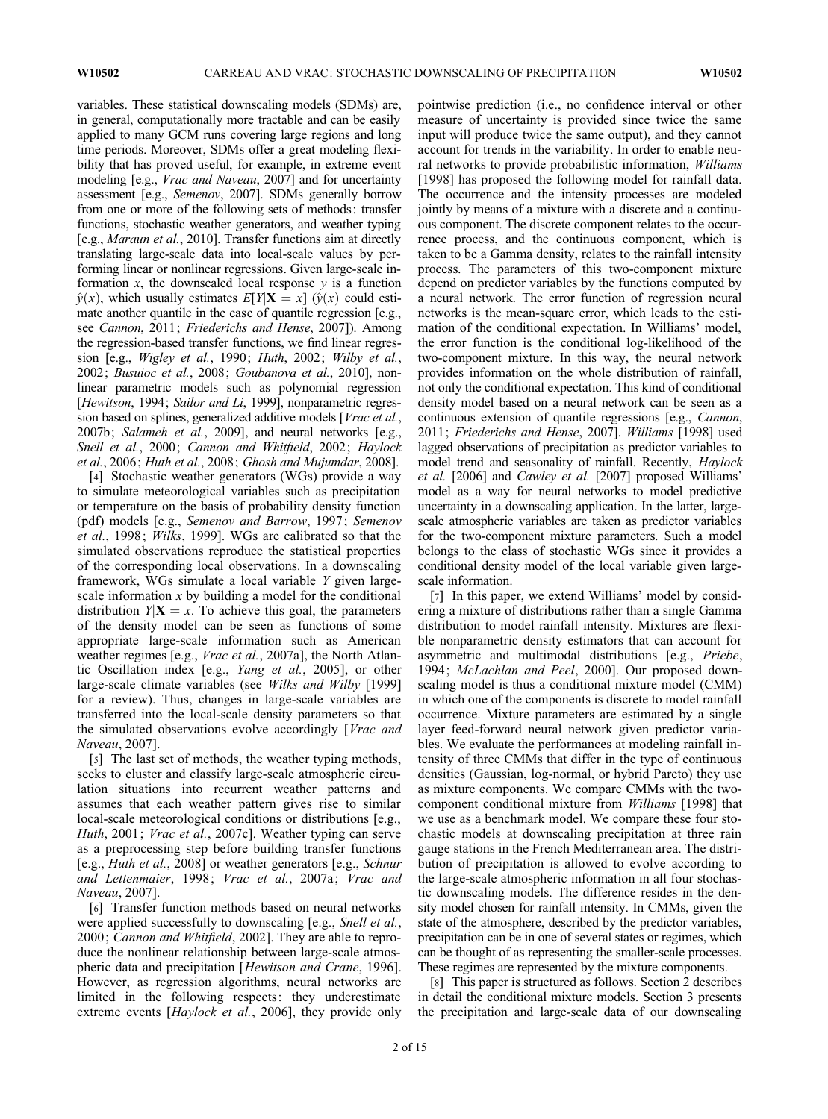variables. These statistical downscaling models (SDMs) are, in general, computationally more tractable and can be easily applied to many GCM runs covering large regions and long time periods. Moreover, SDMs offer a great modeling flexibility that has proved useful, for example, in extreme event modeling [e.g., *Vrac and Naveau*, 2007] and for uncertainty assessment [e.g., *Semenov*, 2007]. SDMs generally borrow from one or more of the following sets of methods: transfer functions, stochastic weather generators, and weather typing [e.g., *Maraun et al.*, 2010]. Transfer functions aim at directly translating large-scale data into local-scale values by performing linear or nonlinear regressions. Given large-scale information  $x$ , the downscaled local response  $y$  is a function  $\hat{y}(x)$ , which usually estimates  $E[Y|\mathbf{X} = x]$  ( $\hat{y}(x)$  could estimate another quantile in the case of quantile regression [e.g., see *Cannon*, 2011; *Friederichs and Hense*, 2007]). Among the regression-based transfer functions, we find linear regression [e.g., *Wigley et al.*, 1990; *Huth*, 2002; *Wilby et al.*, 2002; *Busuioc et al.*, 2008; *Goubanova et al.*, 2010], nonlinear parametric models such as polynomial regression [*Hewitson*, 1994; *Sailor and Li*, 1999], nonparametric regression based on splines, generalized additive models [*Vrac et al.*, 2007b; *Salameh et al.*, 2009], and neural networks [e.g., *Snell et al.*, 2000; *Cannon and Whitfield*, 2002; *Haylock et al.*, 2006; *Huth et al.*, 2008; *Ghosh and Mujumdar*, 2008].

[4] Stochastic weather generators (WGs) provide a way to simulate meteorological variables such as precipitation or temperature on the basis of probability density function (pdf) models [e.g., *Semenov and Barrow*, 1997; *Semenov et al.*, 1998; *Wilks*, 1999]. WGs are calibrated so that the simulated observations reproduce the statistical properties of the corresponding local observations. In a downscaling framework, WGs simulate a local variable *Y* given largescale information *x* by building a model for the conditional distribution  $Y|\mathbf{X} = x$ . To achieve this goal, the parameters of the density model can be seen as functions of some appropriate large-scale information such as American weather regimes [e.g., *Vrac et al.*, 2007a], the North Atlantic Oscillation index [e.g., *Yang et al.*, 2005], or other large-scale climate variables (see *Wilks and Wilby* [1999] for a review). Thus, changes in large-scale variables are transferred into the local-scale density parameters so that the simulated observations evolve accordingly [*Vrac and Naveau*, 2007].

[5] The last set of methods, the weather typing methods, seeks to cluster and classify large-scale atmospheric circulation situations into recurrent weather patterns and assumes that each weather pattern gives rise to similar local-scale meteorological conditions or distributions [e.g., *Huth*, 2001; *Vrac et al.*, 2007c]. Weather typing can serve as a preprocessing step before building transfer functions [e.g., *Huth et al.*, 2008] or weather generators [e.g., *Schnur and Lettenmaier*, 1998; *Vrac et al.*, 2007a; *Vrac and Naveau*, 2007].

[6] Transfer function methods based on neural networks were applied successfully to downscaling [e.g., *Snell et al.*, 2000; *Cannon and Whitfield*, 2002]. They are able to reproduce the nonlinear relationship between large-scale atmospheric data and precipitation [*Hewitson and Crane*, 1996]. However, as regression algorithms, neural networks are limited in the following respects: they underestimate extreme events [*Haylock et al.*, 2006], they provide only pointwise prediction (i.e., no confidence interval or other measure of uncertainty is provided since twice the same input will produce twice the same output), and they cannot account for trends in the variability. In order to enable neural networks to provide probabilistic information, *Williams* [1998] has proposed the following model for rainfall data. The occurrence and the intensity processes are modeled jointly by means of a mixture with a discrete and a continuous component. The discrete component relates to the occurrence process, and the continuous component, which is taken to be a Gamma density, relates to the rainfall intensity process. The parameters of this two-component mixture depend on predictor variables by the functions computed by a neural network. The error function of regression neural networks is the mean-square error, which leads to the estimation of the conditional expectation. In Williams' model, the error function is the conditional log-likelihood of the two-component mixture. In this way, the neural network provides information on the whole distribution of rainfall, not only the conditional expectation. This kind of conditional density model based on a neural network can be seen as a continuous extension of quantile regressions [e.g., *Cannon*, 2011; *Friederichs and Hense*, 2007]. *Williams* [1998] used lagged observations of precipitation as predictor variables to model trend and seasonality of rainfall. Recently, *Haylock et al.* [2006] and *Cawley et al.* [2007] proposed Williams' model as a way for neural networks to model predictive uncertainty in a downscaling application. In the latter, largescale atmospheric variables are taken as predictor variables for the two-component mixture parameters. Such a model belongs to the class of stochastic WGs since it provides a conditional density model of the local variable given largescale information.

[7] In this paper, we extend Williams' model by considering a mixture of distributions rather than a single Gamma distribution to model rainfall intensity. Mixtures are flexible nonparametric density estimators that can account for asymmetric and multimodal distributions [e.g., *Priebe*, 1994; *McLachlan and Peel*, 2000]. Our proposed downscaling model is thus a conditional mixture model (CMM) in which one of the components is discrete to model rainfall occurrence. Mixture parameters are estimated by a single layer feed-forward neural network given predictor variables. We evaluate the performances at modeling rainfall intensity of three CMMs that differ in the type of continuous densities (Gaussian, log-normal, or hybrid Pareto) they use as mixture components. We compare CMMs with the twocomponent conditional mixture from *Williams* [1998] that we use as a benchmark model. We compare these four stochastic models at downscaling precipitation at three rain gauge stations in the French Mediterranean area. The distribution of precipitation is allowed to evolve according to the large-scale atmospheric information in all four stochastic downscaling models. The difference resides in the density model chosen for rainfall intensity. In CMMs, given the state of the atmosphere, described by the predictor variables, precipitation can be in one of several states or regimes, which can be thought of as representing the smaller-scale processes. These regimes are represented by the mixture components.

[8] This paper is structured as follows. Section 2 describes in detail the conditional mixture models. Section 3 presents the precipitation and large-scale data of our downscaling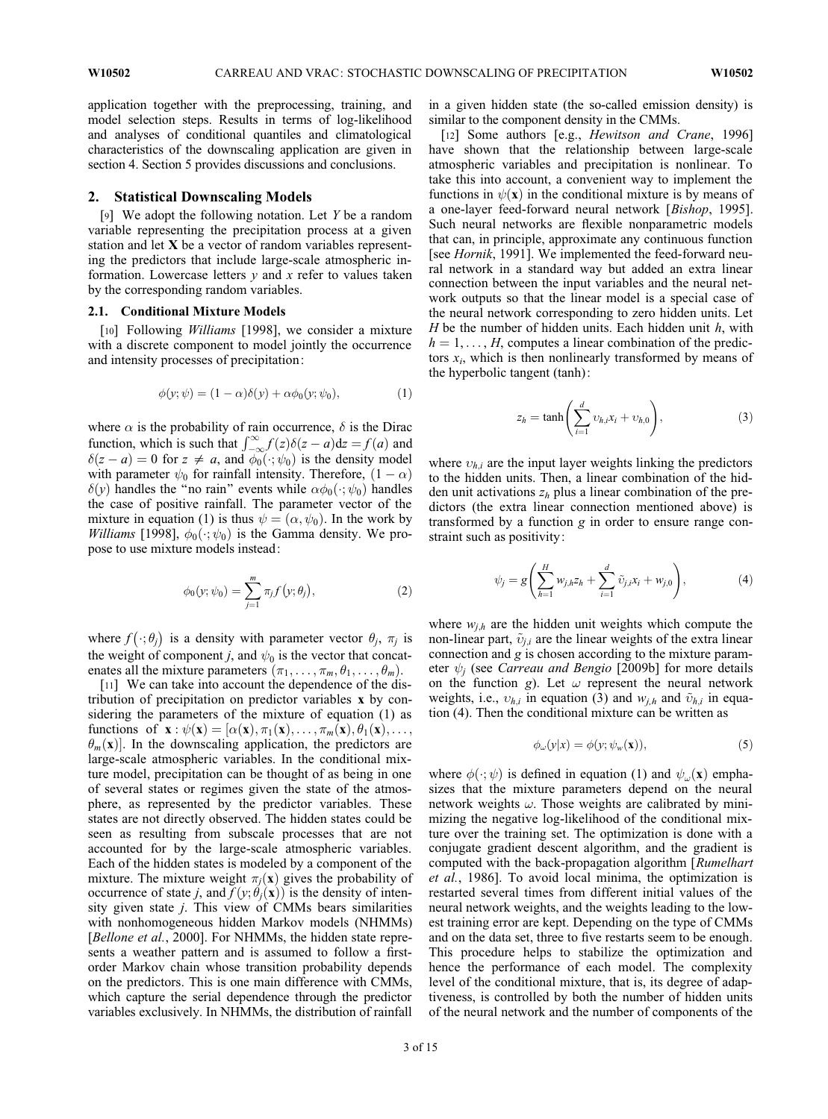application together with the preprocessing, training, and model selection steps. Results in terms of log-likelihood and analyses of conditional quantiles and climatological characteristics of the downscaling application are given in section 4. Section 5 provides discussions and conclusions.

#### **2. Statistical Downscaling Models**

[9] We adopt the following notation. Let *Y* be a random variable representing the precipitation process at a given station and let **X** be a vector of random variables representing the predictors that include large-scale atmospheric information. Lowercase letters *y* and *x* refer to values taken by the corresponding random variables.

# **2.1. Conditional Mixture Models**

[10] Following *Williams* [1998], we consider a mixture with a discrete component to model jointly the occurrence and intensity processes of precipitation:

$$
\phi(y; \psi) = (1 - \alpha)\delta(y) + \alpha\phi_0(y; \psi_0), \tag{1}
$$

where  $\alpha$  is the probability of rain occurrence,  $\delta$  is the Dirac function, which is such that  $\int_{-\infty}^{\infty} f(z) \delta(z-a) dz = f(a)$  and  $\delta(z-a) = 0$  for  $z \neq a$ , and  $\phi_0(\cdot; \psi_0)$  is the density model with parameter  $\psi_0$  for rainfall intensity. Therefore,  $(1 - \alpha)$  $\delta(y)$  handles the "no rain" events while  $\alpha\phi_0(\cdot;\psi_0)$  handles the case of positive rainfall. The parameter vector of the mixture in equation (1) is thus  $\psi = (\alpha, \psi_0)$ . In the work by *Williams* [1998],  $\phi_0(\cdot;\psi_0)$  is the Gamma density. We propose to use mixture models instead:

$$
\phi_0(y; \psi_0) = \sum_{j=1}^m \pi_j f(y; \theta_j),
$$
\n(2)

where  $f(\cdot; \theta_j)$  is a density with parameter vector  $\theta_j$ ,  $\pi_j$  is the weight of component *j*, and  $\psi_0$  is the vector that concatenates all the mixture parameters  $(\pi_1, \ldots, \pi_m, \theta_1, \ldots, \theta_m)$ .

[11] We can take into account the dependence of the distribution of precipitation on predictor variables **x** by considering the parameters of the mixture of equation (1) as functions of  $\mathbf{x} : \psi(\mathbf{x}) = [\alpha(\mathbf{x}), \pi_1(\mathbf{x}), \dots, \pi_m(\mathbf{x}), \theta_1(\mathbf{x}), \dots]$  $\theta_m(\mathbf{x})$ . In the downscaling application, the predictors are large-scale atmospheric variables. In the conditional mixture model, precipitation can be thought of as being in one of several states or regimes given the state of the atmosphere, as represented by the predictor variables. These states are not directly observed. The hidden states could be seen as resulting from subscale processes that are not accounted for by the large-scale atmospheric variables. Each of the hidden states is modeled by a component of the mixture. The mixture weight  $\pi_i(\mathbf{x})$  gives the probability of occurrence of state *j*, and  $f(y; \theta_i(\mathbf{x}))$  is the density of intensity given state *j*. This view of CMMs bears similarities with nonhomogeneous hidden Markov models (NHMMs) [*Bellone et al.*, 2000]. For NHMMs, the hidden state represents a weather pattern and is assumed to follow a firstorder Markov chain whose transition probability depends on the predictors. This is one main difference with CMMs, which capture the serial dependence through the predictor variables exclusively. In NHMMs, the distribution of rainfall in a given hidden state (the so-called emission density) is similar to the component density in the CMMs.

[12] Some authors [e.g., *Hewitson and Crane*, 1996] have shown that the relationship between large-scale atmospheric variables and precipitation is nonlinear. To take this into account, a convenient way to implement the functions in  $\psi(\mathbf{x})$  in the conditional mixture is by means of a one-layer feed-forward neural network [*Bishop*, 1995]. Such neural networks are flexible nonparametric models that can, in principle, approximate any continuous function [see *Hornik*, 1991]. We implemented the feed-forward neural network in a standard way but added an extra linear connection between the input variables and the neural network outputs so that the linear model is a special case of the neural network corresponding to zero hidden units. Let *H* be the number of hidden units. Each hidden unit *h*, with  $h = 1, \ldots, H$ , computes a linear combination of the predictors  $x_i$ , which is then nonlinearly transformed by means of the hyperbolic tangent (tanh):

$$
z_h = \tanh\left(\sum_{i=1}^d \nu_{h,i} x_i + \nu_{h,0}\right),\tag{3}
$$

where  $v_{hi}$  are the input layer weights linking the predictors to the hidden units. Then, a linear combination of the hidden unit activations *zh* plus a linear combination of the predictors (the extra linear connection mentioned above) is transformed by a function *g* in order to ensure range constraint such as positivity:

$$
\psi_j = g \left( \sum_{h=1}^H w_{j,h} z_h + \sum_{i=1}^d \tilde{v}_{j,i} x_i + w_{j,0} \right), \tag{4}
$$

where  $w_{i,h}$  are the hidden unit weights which compute the non-linear part,  $\tilde{v}_{i,i}$  are the linear weights of the extra linear connection and *g* is chosen according to the mixture parameter  $\psi_j$  (see *Carreau and Bengio* [2009b] for more details on the function *g*). Let  $\omega$  represent the neural network weights, i.e.,  $v_{h,i}$  in equation (3) and  $w_{i,h}$  and  $\tilde{v}_{h,i}$  in equation (4). Then the conditional mixture can be written as

$$
\phi_{\omega}(y|x) = \phi(y; \psi_w(\mathbf{x})),\tag{5}
$$

where  $\phi(\cdot; \psi)$  is defined in equation (1) and  $\psi_{\omega}(\mathbf{x})$  emphasizes that the mixture parameters depend on the neural network weights  $\omega$ . Those weights are calibrated by minimizing the negative log-likelihood of the conditional mixture over the training set. The optimization is done with a conjugate gradient descent algorithm, and the gradient is computed with the back-propagation algorithm [*Rumelhart et al.*, 1986]. To avoid local minima, the optimization is restarted several times from different initial values of the neural network weights, and the weights leading to the lowest training error are kept. Depending on the type of CMMs and on the data set, three to five restarts seem to be enough. This procedure helps to stabilize the optimization and hence the performance of each model. The complexity level of the conditional mixture, that is, its degree of adaptiveness, is controlled by both the number of hidden units of the neural network and the number of components of the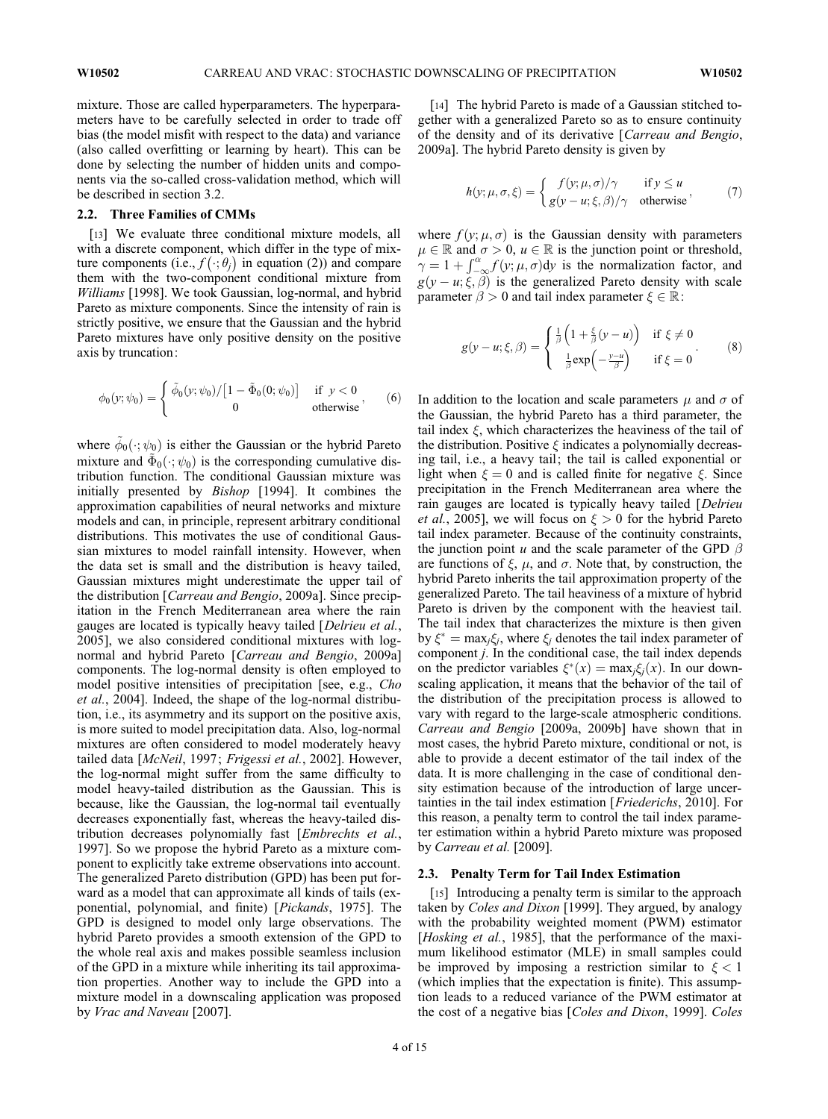mixture. Those are called hyperparameters. The hyperparameters have to be carefully selected in order to trade off bias (the model misfit with respect to the data) and variance (also called overfitting or learning by heart). This can be done by selecting the number of hidden units and components via the so-called cross-validation method, which will be described in section 3.2.

#### **2.2. Three Families of CMMs**

[13] We evaluate three conditional mixture models, all with a discrete component, which differ in the type of mixture components (i.e.,  $f(\cdot;\theta_j)$  in equation (2)) and compare them with the two-component conditional mixture from *Williams* [1998]. We took Gaussian, log-normal, and hybrid Pareto as mixture components. Since the intensity of rain is strictly positive, we ensure that the Gaussian and the hybrid Pareto mixtures have only positive density on the positive axis by truncation:

$$
\phi_0(y; \psi_0) = \begin{cases} \tilde{\phi}_0(y; \psi_0) / \left[ 1 - \tilde{\Phi}_0(0; \psi_0) \right] & \text{if } y < 0 \\ 0 & \text{otherwise} \end{cases}
$$
 (6)

where  $\tilde{\phi}_0(\cdot;\psi_0)$  is either the Gaussian or the hybrid Pareto mixture and  $\tilde{\Phi}_0(\cdot;\psi_0)$  is the corresponding cumulative distribution function. The conditional Gaussian mixture was initially presented by *Bishop* [1994]. It combines the approximation capabilities of neural networks and mixture models and can, in principle, represent arbitrary conditional distributions. This motivates the use of conditional Gaussian mixtures to model rainfall intensity. However, when the data set is small and the distribution is heavy tailed, Gaussian mixtures might underestimate the upper tail of the distribution [*Carreau and Bengio*, 2009a]. Since precipitation in the French Mediterranean area where the rain gauges are located is typically heavy tailed [*Delrieu et al.*, 2005], we also considered conditional mixtures with lognormal and hybrid Pareto [*Carreau and Bengio*, 2009a] components. The log-normal density is often employed to model positive intensities of precipitation [see, e.g., *Cho et al.*, 2004]. Indeed, the shape of the log-normal distribution, i.e., its asymmetry and its support on the positive axis, is more suited to model precipitation data. Also, log-normal mixtures are often considered to model moderately heavy tailed data [*McNeil*, 1997; *Frigessi et al.*, 2002]. However, the log-normal might suffer from the same difficulty to model heavy-tailed distribution as the Gaussian. This is because, like the Gaussian, the log-normal tail eventually decreases exponentially fast, whereas the heavy-tailed distribution decreases polynomially fast [*Embrechts et al.*, 1997]. So we propose the hybrid Pareto as a mixture component to explicitly take extreme observations into account. The generalized Pareto distribution (GPD) has been put forward as a model that can approximate all kinds of tails (exponential, polynomial, and finite) [*Pickands*, 1975]. The GPD is designed to model only large observations. The hybrid Pareto provides a smooth extension of the GPD to the whole real axis and makes possible seamless inclusion of the GPD in a mixture while inheriting its tail approximation properties. Another way to include the GPD into a mixture model in a downscaling application was proposed by *Vrac and Naveau* [2007].

[14] The hybrid Pareto is made of a Gaussian stitched together with a generalized Pareto so as to ensure continuity of the density and of its derivative [*Carreau and Bengio*, 2009a]. The hybrid Pareto density is given by

$$
h(y; \mu, \sigma, \xi) = \begin{cases} f(y; \mu, \sigma) / \gamma & \text{if } y \le u \\ g(y - u; \xi, \beta) / \gamma & \text{otherwise} \end{cases} \tag{7}
$$

where  $f(y; \mu, \sigma)$  is the Gaussian density with parameters  $\mu \in \mathbb{R}$  and  $\sigma > 0$ ,  $u \in \mathbb{R}$  is the junction point or threshold,<br>  $\gamma = 1 + \int_{-\infty}^{\alpha} f(y; \mu, \sigma) dy$  is the normalization factor, and  $g(y - u; \xi, \beta)$  is the generalized Pareto density with scale parameter  $\beta > 0$  and tail index parameter  $\xi \in \mathbb{R}$ :

$$
g(y - u; \xi, \beta) = \begin{cases} \frac{1}{\beta} \left( 1 + \frac{\xi}{\beta} (y - u) \right) & \text{if } \xi \neq 0\\ \frac{1}{\beta} \exp\left( -\frac{y - u}{\beta} \right) & \text{if } \xi = 0 \end{cases}
$$
 (8)

In addition to the location and scale parameters  $\mu$  and  $\sigma$  of the Gaussian, the hybrid Pareto has a third parameter, the tail index  $\xi$ , which characterizes the heaviness of the tail of the distribution. Positive  $\xi$  indicates a polynomially decreasing tail, i.e., a heavy tail; the tail is called exponential or light when  $\xi = 0$  and is called finite for negative  $\xi$ . Since precipitation in the French Mediterranean area where the rain gauges are located is typically heavy tailed [*Delrieu et al.*, 2005], we will focus on  $\xi > 0$  for the hybrid Pareto tail index parameter. Because of the continuity constraints, the junction point *u* and the scale parameter of the GPD  $\beta$ are functions of  $\xi$ ,  $\mu$ , and  $\sigma$ . Note that, by construction, the hybrid Pareto inherits the tail approximation property of the generalized Pareto. The tail heaviness of a mixture of hybrid Pareto is driven by the component with the heaviest tail. The tail index that characterizes the mixture is then given by  $\xi^* = \max_j \xi_j$ , where  $\xi_j$  denotes the tail index parameter of component *j*. In the conditional case, the tail index depends on the predictor variables  $\xi^*(x) = \max_j \xi_j(x)$ . In our downscaling application, it means that the behavior of the tail of the distribution of the precipitation process is allowed to vary with regard to the large-scale atmospheric conditions. *Carreau and Bengio* [2009a, 2009b] have shown that in most cases, the hybrid Pareto mixture, conditional or not, is able to provide a decent estimator of the tail index of the data. It is more challenging in the case of conditional density estimation because of the introduction of large uncertainties in the tail index estimation [*Friederichs*, 2010]. For this reason, a penalty term to control the tail index parameter estimation within a hybrid Pareto mixture was proposed by *Carreau et al.* [2009].

#### **2.3. Penalty Term for Tail Index Estimation**

[15] Introducing a penalty term is similar to the approach taken by *Coles and Dixon* [1999]. They argued, by analogy with the probability weighted moment (PWM) estimator [*Hosking et al.*, 1985], that the performance of the maximum likelihood estimator (MLE) in small samples could be improved by imposing a restriction similar to  $\xi < 1$ (which implies that the expectation is finite). This assumption leads to a reduced variance of the PWM estimator at the cost of a negative bias [*Coles and Dixon*, 1999]. *Coles*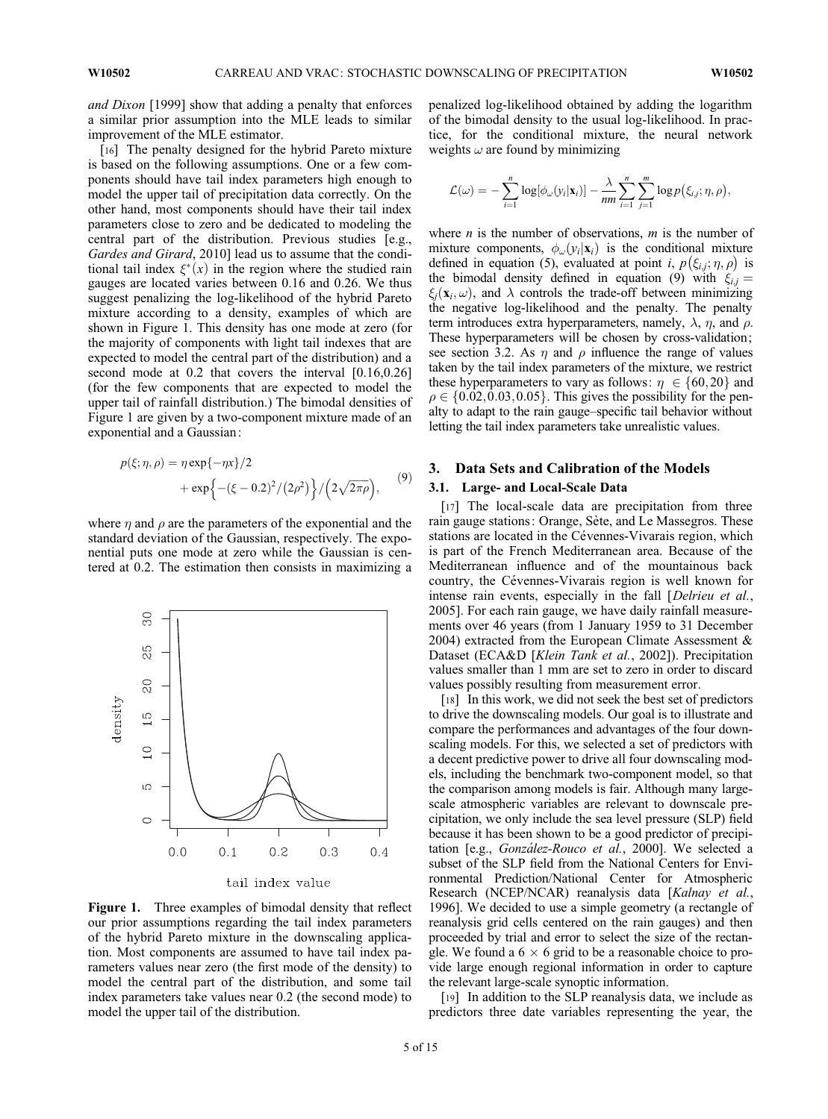*and Dixon* [1999] show that adding a penalty that enforces a similar prior assumption into the MLE leads to similar improvement of the MLE estimator.

[16] The penalty designed for the hybrid Pareto mixture is based on the following assumptions. One or a few components should have tail index parameters high enough to model the upper tail of precipitation data correctly. On the other hand, most components should have their tail index parameters close to zero and be dedicated to modeling the central part of the distribution. Previous studies [e.g., *Gardes and Girard*, 2010] lead us to assume that the conditional tail index  $\xi^*(x)$  in the region where the studied rain gauges are located varies between 0.16 and 0.26. We thus suggest penalizing the log-likelihood of the hybrid Pareto mixture according to a density, examples of which are shown in Figure 1. This density has one mode at zero (for the majority of components with light tail indexes that are expected to model the central part of the distribution) and a second mode at 0.2 that covers the interval  $[0.16, 0.26]$ (for the few components that are expected to model the upper tail of rainfall distribution.) The bimodal densities of Figure 1 are given by a two-component mixture made of an exponential and a Gaussian:

$$
p(\xi; \eta, \rho) = \eta \exp\{-\eta x\}/2 + \exp\{-(\xi - 0.2)^2/(2\rho^2)\}/(2\sqrt{2\pi\rho}),
$$
(9)

where  $\eta$  and  $\rho$  are the parameters of the exponential and the standard deviation of the Gaussian, respectively. The exponential puts one mode at zero while the Gaussian is centered at 0.2. The estimation then consists in maximizing a



**Figure 1.** Three examples of bimodal density that reflect our prior assumptions regarding the tail index parameters of the hybrid Pareto mixture in the downscaling application. Most components are assumed to have tail index parameters values near zero (the first mode of the density) to model the central part of the distribution, and some tail index parameters take values near 0.2 (the second mode) to model the upper tail of the distribution.

penalized log-likelihood obtained by adding the logarithm of the bimodal density to the usual log-likelihood. In practice, for the conditional mixture, the neural network weights  $\omega$  are found by minimizing

$$
\mathcal{L}(\omega) = -\sum_{i=1}^n \log[\phi_\omega(y_i|\mathbf{x}_i)] - \frac{\lambda}{nm} \sum_{i=1}^n \sum_{j=1}^m \log p(\xi_{ij}; \eta, \rho),
$$

where *n* is the number of observations, *m* is the number of mixture components,  $\phi_{\omega}(y_i|\mathbf{x}_i)$  is the conditional mixture defined in equation (5), evaluated at point *i*,  $p(\xi_{i,j}; \eta, \rho)$  is the bimodal density defined in equation (9) with  $\xi_{i,j} =$  $\xi_j(\mathbf{x}_i, \omega)$ , and  $\lambda$  controls the trade-off between minimizing the negative log-likelihood and the penalty. The penalty term introduces extra hyperparameters, namely,  $\lambda$ ,  $\eta$ , and  $\rho$ . These hyperparameters will be chosen by cross-validation; see section 3.2. As  $\eta$  and  $\rho$  influence the range of values taken by the tail index parameters of the mixture, we restrict these hyperparameters to vary as follows:  $\eta \in \{60, 20\}$  and  $\rho \in \{0.02, 0.03, 0.05\}$ . This gives the possibility for the penalty to adapt to the rain gauge–specific tail behavior without letting the tail index parameters take unrealistic values.

# **3. Data Sets and Calibration of the Models**

# **3.1. Large- and Local-Scale Data**

[17] The local-scale data are precipitation from three rain gauge stations: Orange, Sète, and Le Massegros. These stations are located in the Cévennes-Vivarais region, which is part of the French Mediterranean area. Because of the Mediterranean influence and of the mountainous back country, the Cévennes-Vivarais region is well known for intense rain events, especially in the fall [*Delrieu et al.*, 2005]. For each rain gauge, we have daily rainfall measurements over 46 years (from 1 January 1959 to 31 December 2004) extracted from the European Climate Assessment & Dataset (ECA&D [*Klein Tank et al.*, 2002]). Precipitation values smaller than 1 mm are set to zero in order to discard values possibly resulting from measurement error.

[18] In this work, we did not seek the best set of predictors to drive the downscaling models. Our goal is to illustrate and compare the performances and advantages of the four downscaling models. For this, we selected a set of predictors with a decent predictive power to drive all four downscaling models, including the benchmark two-component model, so that the comparison among models is fair. Although many largescale atmospheric variables are relevant to downscale precipitation, we only include the sea level pressure (SLP) field because it has been shown to be a good predictor of precipitation [e.g., *González-Rouco et al.*, 2000]. We selected a subset of the SLP field from the National Centers for Environmental Prediction/National Center for Atmospheric Research (NCEP/NCAR) reanalysis data [*Kalnay et al.*, 1996]. We decided to use a simple geometry (a rectangle of reanalysis grid cells centered on the rain gauges) and then proceeded by trial and error to select the size of the rectangle. We found a  $6 \times 6$  grid to be a reasonable choice to provide large enough regional information in order to capture the relevant large-scale synoptic information.

[19] In addition to the SLP reanalysis data, we include as predictors three date variables representing the year, the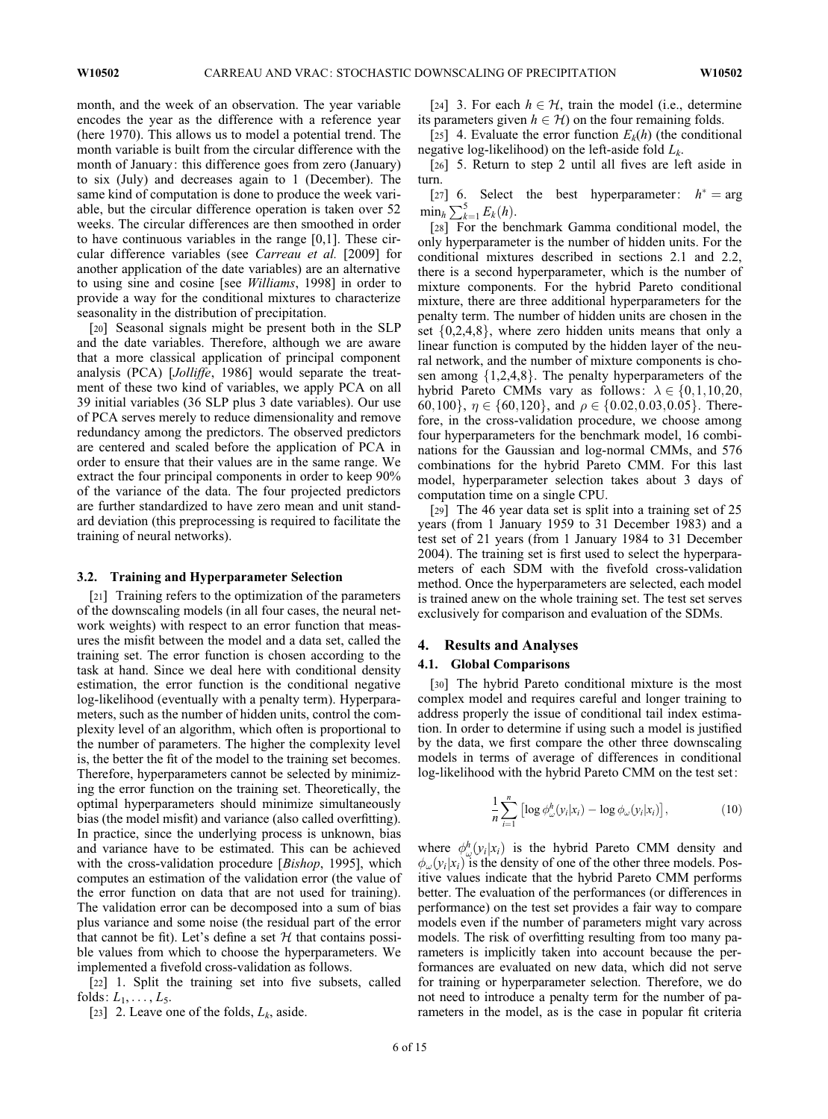month, and the week of an observation. The year variable encodes the year as the difference with a reference year (here 1970). This allows us to model a potential trend. The month variable is built from the circular difference with the month of January: this difference goes from zero (January) to six (July) and decreases again to 1 (December). The same kind of computation is done to produce the week variable, but the circular difference operation is taken over 52 weeks. The circular differences are then smoothed in order to have continuous variables in the range [0,1]. These circular difference variables (see *Carreau et al.* [2009] for another application of the date variables) are an alternative to using sine and cosine [see *Williams*, 1998] in order to provide a way for the conditional mixtures to characterize seasonality in the distribution of precipitation.

[20] Seasonal signals might be present both in the SLP and the date variables. Therefore, although we are aware that a more classical application of principal component analysis (PCA) [*Jolliffe*, 1986] would separate the treatment of these two kind of variables, we apply PCA on all 39 initial variables (36 SLP plus 3 date variables). Our use of PCA serves merely to reduce dimensionality and remove redundancy among the predictors. The observed predictors are centered and scaled before the application of PCA in order to ensure that their values are in the same range. We extract the four principal components in order to keep 90% of the variance of the data. The four projected predictors are further standardized to have zero mean and unit standard deviation (this preprocessing is required to facilitate the training of neural networks).

#### **3.2. Training and Hyperparameter Selection**

[21] Training refers to the optimization of the parameters of the downscaling models (in all four cases, the neural network weights) with respect to an error function that measures the misfit between the model and a data set, called the training set. The error function is chosen according to the task at hand. Since we deal here with conditional density estimation, the error function is the conditional negative log-likelihood (eventually with a penalty term). Hyperparameters, such as the number of hidden units, control the complexity level of an algorithm, which often is proportional to the number of parameters. The higher the complexity level is, the better the fit of the model to the training set becomes. Therefore, hyperparameters cannot be selected by minimizing the error function on the training set. Theoretically, the optimal hyperparameters should minimize simultaneously bias (the model misfit) and variance (also called overfitting). In practice, since the underlying process is unknown, bias and variance have to be estimated. This can be achieved with the cross-validation procedure [*Bishop*, 1995], which computes an estimation of the validation error (the value of the error function on data that are not used for training). The validation error can be decomposed into a sum of bias plus variance and some noise (the residual part of the error that cannot be fit). Let's define a set  $H$  that contains possible values from which to choose the hyperparameters. We implemented a fivefold cross-validation as follows.

[22] 1. Split the training set into five subsets, called folds:  $L_1, \ldots, L_5$ .

[23] 2. Leave one of the folds,  $L_k$ , aside.

[24] 3. For each  $h \in H$ , train the model (i.e., determine its parameters given  $h \in H$ ) on the four remaining folds.

[25] 4. Evaluate the error function  $E_k(h)$  (the conditional negative log-likelihood) on the left-aside fold *Lk*.

[26] 5. Return to step 2 until all fives are left aside in turn.

[27] 6. Select the best hyperparameter:  $h^* = \arg$  $\min_h \sum_{k=1}^5 E_k(h)$ .

[28] For the benchmark Gamma conditional model, the only hyperparameter is the number of hidden units. For the conditional mixtures described in sections 2.1 and 2.2, there is a second hyperparameter, which is the number of mixture components. For the hybrid Pareto conditional mixture, there are three additional hyperparameters for the penalty term. The number of hidden units are chosen in the set  $\{0,2,4,8\}$ , where zero hidden units means that only a linear function is computed by the hidden layer of the neural network, and the number of mixture components is chosen among  $\{1,2,4,8\}$ . The penalty hyperparameters of the hybrid Pareto CMMs vary as follows:  $\lambda \in \{0, 1, 10, 20, \ldots\}$ 60,100,  $\eta \in \{60, 120\}$ , and  $\rho \in \{0.02, 0.03, 0.05\}$ . Therefore, in the cross-validation procedure, we choose among four hyperparameters for the benchmark model, 16 combinations for the Gaussian and log-normal CMMs, and 576 combinations for the hybrid Pareto CMM. For this last model, hyperparameter selection takes about 3 days of computation time on a single CPU.

[29] The 46 year data set is split into a training set of 25 years (from 1 January 1959 to 31 December 1983) and a test set of 21 years (from 1 January 1984 to 31 December 2004). The training set is first used to select the hyperparameters of each SDM with the fivefold cross-validation method. Once the hyperparameters are selected, each model is trained anew on the whole training set. The test set serves exclusively for comparison and evaluation of the SDMs.

# **4. Results and Analyses**

### **4.1. Global Comparisons**

[30] The hybrid Pareto conditional mixture is the most complex model and requires careful and longer training to address properly the issue of conditional tail index estimation. In order to determine if using such a model is justified by the data, we first compare the other three downscaling models in terms of average of differences in conditional log-likelihood with the hybrid Pareto CMM on the test set:

$$
\frac{1}{n}\sum_{i=1}^{n}\left[\log\phi_{\omega}^{h}(y_{i}|x_{i})-\log\phi_{\omega}(y_{i}|x_{i})\right],\tag{10}
$$

where  $\phi_{\omega}^{h}(y_i|x_i)$  is the hybrid Pareto CMM density and  $\phi_{\omega}(y_i|x_i)$  is the density of one of the other three models. Positive values indicate that the hybrid Pareto CMM performs better. The evaluation of the performances (or differences in performance) on the test set provides a fair way to compare models even if the number of parameters might vary across models. The risk of overfitting resulting from too many parameters is implicitly taken into account because the performances are evaluated on new data, which did not serve for training or hyperparameter selection. Therefore, we do not need to introduce a penalty term for the number of parameters in the model, as is the case in popular fit criteria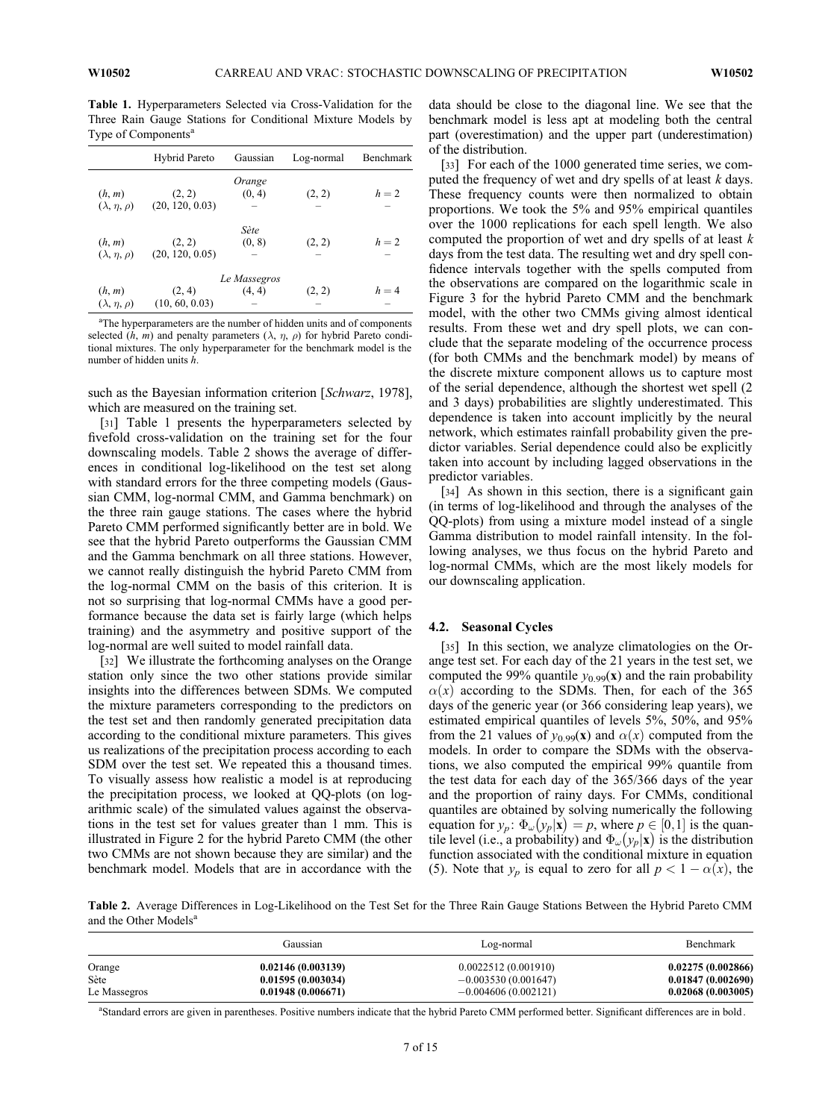**Table 1.** Hyperparameters Selected via Cross-Validation for the Three Rain Gauge Stations for Conditional Mixture Models by Type of Components<sup>a</sup>

|                                   | Hybrid Pareto             | Gaussian               | Log-normal | Benchmark |
|-----------------------------------|---------------------------|------------------------|------------|-----------|
| (h, m)<br>$(\lambda, \eta, \rho)$ | (2, 2)<br>(20, 120, 0.03) | Orange<br>(0, 4)       | (2, 2)     | $h=2$     |
| (h, m)<br>$(\lambda, \eta, \rho)$ | (2, 2)<br>(20, 120, 0.05) | Sète<br>(0, 8)         | (2, 2)     | $h=2$     |
| (h, m)<br>$(\lambda, \eta, \rho)$ | (2, 4)<br>(10, 60, 0.03)  | Le Massegros<br>(4, 4) | (2, 2)     | $h=4$     |

<sup>a</sup>The hyperparameters are the number of hidden units and of components selected  $(h, m)$  and penalty parameters  $(\lambda, \eta, \rho)$  for hybrid Pareto conditional mixtures. The only hyperparameter for the benchmark model is the number of hidden units *h*.

such as the Bayesian information criterion [*Schwarz*, 1978], which are measured on the training set.

[31] Table 1 presents the hyperparameters selected by fivefold cross-validation on the training set for the four downscaling models. Table 2 shows the average of differences in conditional log-likelihood on the test set along with standard errors for the three competing models (Gaussian CMM, log-normal CMM, and Gamma benchmark) on the three rain gauge stations. The cases where the hybrid Pareto CMM performed significantly better are in bold. We see that the hybrid Pareto outperforms the Gaussian CMM and the Gamma benchmark on all three stations. However, we cannot really distinguish the hybrid Pareto CMM from the log-normal CMM on the basis of this criterion. It is not so surprising that log-normal CMMs have a good performance because the data set is fairly large (which helps training) and the asymmetry and positive support of the log-normal are well suited to model rainfall data.

[32] We illustrate the forthcoming analyses on the Orange station only since the two other stations provide similar insights into the differences between SDMs. We computed the mixture parameters corresponding to the predictors on the test set and then randomly generated precipitation data according to the conditional mixture parameters. This gives us realizations of the precipitation process according to each SDM over the test set. We repeated this a thousand times. To visually assess how realistic a model is at reproducing the precipitation process, we looked at QQ-plots (on logarithmic scale) of the simulated values against the observations in the test set for values greater than 1 mm. This is illustrated in Figure 2 for the hybrid Pareto CMM (the other two CMMs are not shown because they are similar) and the benchmark model. Models that are in accordance with the data should be close to the diagonal line. We see that the benchmark model is less apt at modeling both the central part (overestimation) and the upper part (underestimation) of the distribution.

[33] For each of the 1000 generated time series, we computed the frequency of wet and dry spells of at least *k* days. These frequency counts were then normalized to obtain proportions. We took the 5% and 95% empirical quantiles over the 1000 replications for each spell length. We also computed the proportion of wet and dry spells of at least *k* days from the test data. The resulting wet and dry spell confidence intervals together with the spells computed from the observations are compared on the logarithmic scale in Figure 3 for the hybrid Pareto CMM and the benchmark model, with the other two CMMs giving almost identical results. From these wet and dry spell plots, we can conclude that the separate modeling of the occurrence process (for both CMMs and the benchmark model) by means of the discrete mixture component allows us to capture most of the serial dependence, although the shortest wet spell (2 and 3 days) probabilities are slightly underestimated. This dependence is taken into account implicitly by the neural network, which estimates rainfall probability given the predictor variables. Serial dependence could also be explicitly taken into account by including lagged observations in the predictor variables.

[34] As shown in this section, there is a significant gain (in terms of log-likelihood and through the analyses of the QQ-plots) from using a mixture model instead of a single Gamma distribution to model rainfall intensity. In the following analyses, we thus focus on the hybrid Pareto and log-normal CMMs, which are the most likely models for our downscaling application.

#### **4.2. Seasonal Cycles**

[35] In this section, we analyze climatologies on the Orange test set. For each day of the 21 years in the test set, we computed the 99% quantile  $y_{0.99}(\mathbf{x})$  and the rain probability  $\alpha(x)$  according to the SDMs. Then, for each of the 365 days of the generic year (or 366 considering leap years), we estimated empirical quantiles of levels 5%, 50%, and 95% from the 21 values of  $y_{0.99}(\mathbf{x})$  and  $\alpha(x)$  computed from the models. In order to compare the SDMs with the observations, we also computed the empirical 99% quantile from the test data for each day of the 365/366 days of the year and the proportion of rainy days. For CMMs, conditional quantiles are obtained by solving numerically the following equation for  $y_p$ :  $\Phi_{\omega}(y_p|\mathbf{x}) = p$ , where  $p \in [0,1]$  is the quan-Equation for  $y_p$ ,  $\Psi_{\omega}(y_p|\mathbf{x}) = p$ , where  $p \in [0, 1]$  is the distribution tile level (i.e., a probability) and  $\Phi_{\omega}(y_p|\mathbf{x})$  is the distribution function associated with the conditional mixture in equation (5). Note that  $y_p$  is equal to zero for all  $p < 1 - \alpha(x)$ , the

**Table 2.** Average Differences in Log-Likelihood on the Test Set for the Three Rain Gauge Stations Between the Hybrid Pareto CMM and the Other Models<sup>a</sup>

|                | Gaussian                               | Log-normal                                   | <b>Benchmark</b>                       |  |
|----------------|----------------------------------------|----------------------------------------------|----------------------------------------|--|
| Orange<br>Sète | 0.02146(0.003139)<br>0.01595(0.003034) | 0.0022512(0.001910)<br>$-0.003530(0.001647)$ | 0.02275(0.002866)<br>0.01847(0.002690) |  |
| Le Massegros   | 0.01948(0.006671)                      | $-0.004606(0.002121)$                        | 0.02068(0.003005)                      |  |

<sup>a</sup>Standard errors are given in parentheses. Positive numbers indicate that the hybrid Pareto CMM performed better. Significant differences are in bold.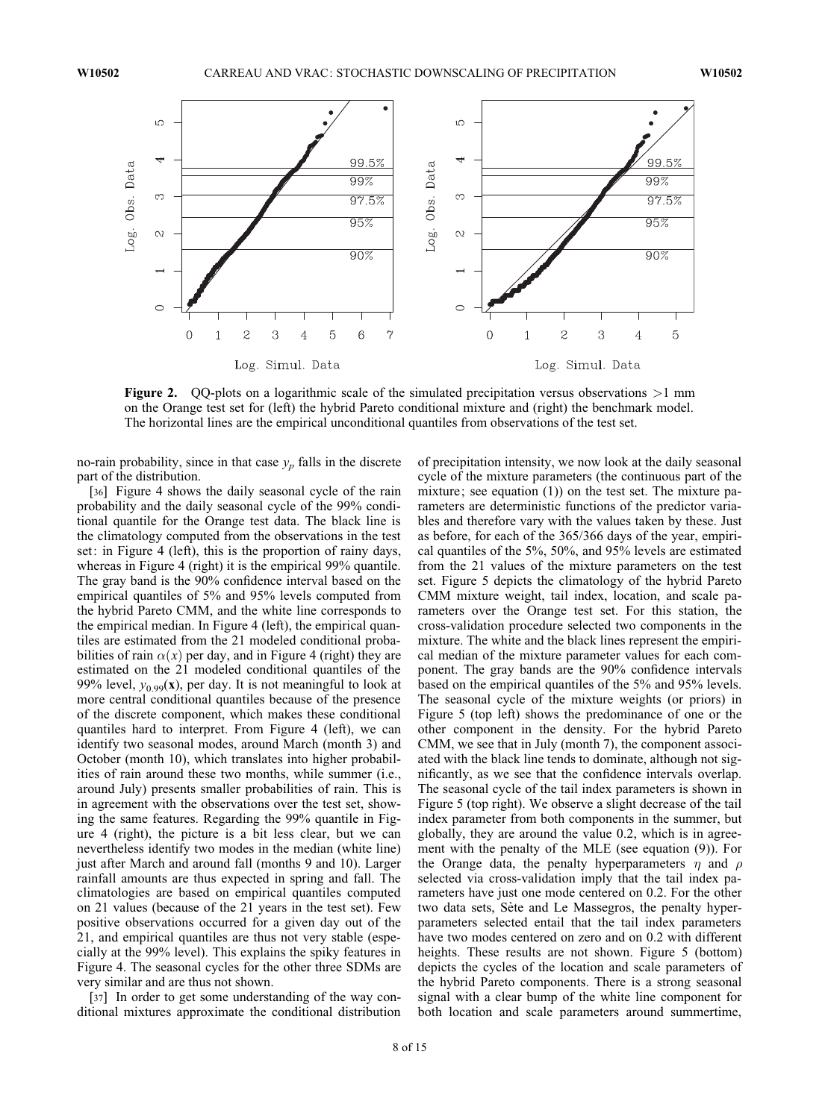

**Figure 2.** QQ-plots on a logarithmic scale of the simulated precipitation versus observations  $>1$  mm on the Orange test set for (left) the hybrid Pareto conditional mixture and (right) the benchmark model. The horizontal lines are the empirical unconditional quantiles from observations of the test set.

no-rain probability, since in that case  $y_p$  falls in the discrete part of the distribution.

[36] Figure 4 shows the daily seasonal cycle of the rain probability and the daily seasonal cycle of the 99% conditional quantile for the Orange test data. The black line is the climatology computed from the observations in the test set: in Figure 4 (left), this is the proportion of rainy days, whereas in Figure 4 (right) it is the empirical 99% quantile. The gray band is the 90% confidence interval based on the empirical quantiles of 5% and 95% levels computed from the hybrid Pareto CMM, and the white line corresponds to the empirical median. In Figure 4 (left), the empirical quantiles are estimated from the 21 modeled conditional probabilities of rain  $\alpha(x)$  per day, and in Figure 4 (right) they are estimated on the 21 modeled conditional quantiles of the 99% level,  $y_{0.99}(\mathbf{x})$ , per day. It is not meaningful to look at more central conditional quantiles because of the presence of the discrete component, which makes these conditional quantiles hard to interpret. From Figure 4 (left), we can identify two seasonal modes, around March (month 3) and October (month 10), which translates into higher probabilities of rain around these two months, while summer (i.e., around July) presents smaller probabilities of rain. This is in agreement with the observations over the test set, showing the same features. Regarding the 99% quantile in Figure 4 (right), the picture is a bit less clear, but we can nevertheless identify two modes in the median (white line) just after March and around fall (months 9 and 10). Larger rainfall amounts are thus expected in spring and fall. The climatologies are based on empirical quantiles computed on 21 values (because of the 21 years in the test set). Few positive observations occurred for a given day out of the 21, and empirical quantiles are thus not very stable (especially at the 99% level). This explains the spiky features in Figure 4. The seasonal cycles for the other three SDMs are very similar and are thus not shown.

[37] In order to get some understanding of the way conditional mixtures approximate the conditional distribution of precipitation intensity, we now look at the daily seasonal cycle of the mixture parameters (the continuous part of the mixture; see equation (1)) on the test set. The mixture parameters are deterministic functions of the predictor variables and therefore vary with the values taken by these. Just as before, for each of the 365/366 days of the year, empirical quantiles of the 5%, 50%, and 95% levels are estimated from the 21 values of the mixture parameters on the test set. Figure 5 depicts the climatology of the hybrid Pareto CMM mixture weight, tail index, location, and scale parameters over the Orange test set. For this station, the cross-validation procedure selected two components in the mixture. The white and the black lines represent the empirical median of the mixture parameter values for each component. The gray bands are the 90% confidence intervals based on the empirical quantiles of the 5% and 95% levels. The seasonal cycle of the mixture weights (or priors) in Figure 5 (top left) shows the predominance of one or the other component in the density. For the hybrid Pareto CMM, we see that in July (month 7), the component associated with the black line tends to dominate, although not significantly, as we see that the confidence intervals overlap. The seasonal cycle of the tail index parameters is shown in Figure 5 (top right). We observe a slight decrease of the tail index parameter from both components in the summer, but globally, they are around the value 0.2, which is in agreement with the penalty of the MLE (see equation (9)). For the Orange data, the penalty hyperparameters  $\eta$  and  $\rho$ selected via cross-validation imply that the tail index parameters have just one mode centered on 0.2. For the other two data sets, Sète and Le Massegros, the penalty hyperparameters selected entail that the tail index parameters have two modes centered on zero and on 0.2 with different heights. These results are not shown. Figure 5 (bottom) depicts the cycles of the location and scale parameters of the hybrid Pareto components. There is a strong seasonal signal with a clear bump of the white line component for both location and scale parameters around summertime,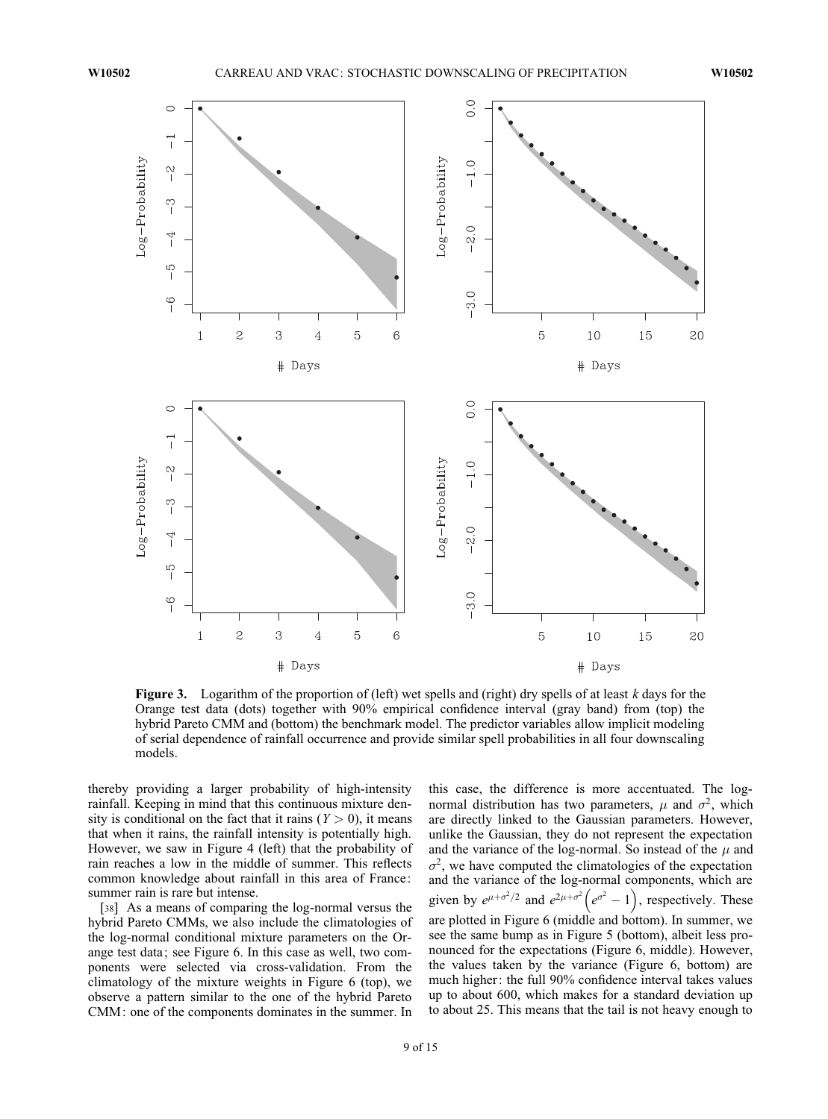

**Figure 3.** Logarithm of the proportion of (left) wet spells and (right) dry spells of at least *k* days for the Orange test data (dots) together with 90% empirical confidence interval (gray band) from (top) the hybrid Pareto CMM and (bottom) the benchmark model. The predictor variables allow implicit modeling of serial dependence of rainfall occurrence and provide similar spell probabilities in all four downscaling models.

thereby providing a larger probability of high-intensity rainfall. Keeping in mind that this continuous mixture density is conditional on the fact that it rains  $(Y > 0)$ , it means that when it rains, the rainfall intensity is potentially high. However, we saw in Figure 4 (left) that the probability of rain reaches a low in the middle of summer. This reflects common knowledge about rainfall in this area of France: summer rain is rare but intense.

[38] As a means of comparing the log-normal versus the hybrid Pareto CMMs, we also include the climatologies of the log-normal conditional mixture parameters on the Orange test data; see Figure 6. In this case as well, two components were selected via cross-validation. From the climatology of the mixture weights in Figure 6 (top), we observe a pattern similar to the one of the hybrid Pareto CMM: one of the components dominates in the summer. In this case, the difference is more accentuated. The lognormal distribution has two parameters,  $\mu$  and  $\sigma^2$ , which are directly linked to the Gaussian parameters. However, unlike the Gaussian, they do not represent the expectation and the variance of the log-normal. So instead of the  $\mu$  and  $\sigma^2$ , we have computed the climatologies of the expectation and the variance of the log-normal components, which are given by  $e^{\mu + \sigma^2/2}$  and  $e^{2\mu + \sigma^2} (e^{\sigma^2} - 1)$ , respectively. These are plotted in Figure 6 (middle and bottom). In summer, we see the same bump as in Figure 5 (bottom), albeit less pronounced for the expectations (Figure 6, middle). However, the values taken by the variance (Figure 6, bottom) are much higher: the full 90% confidence interval takes values up to about 600, which makes for a standard deviation up to about 25. This means that the tail is not heavy enough to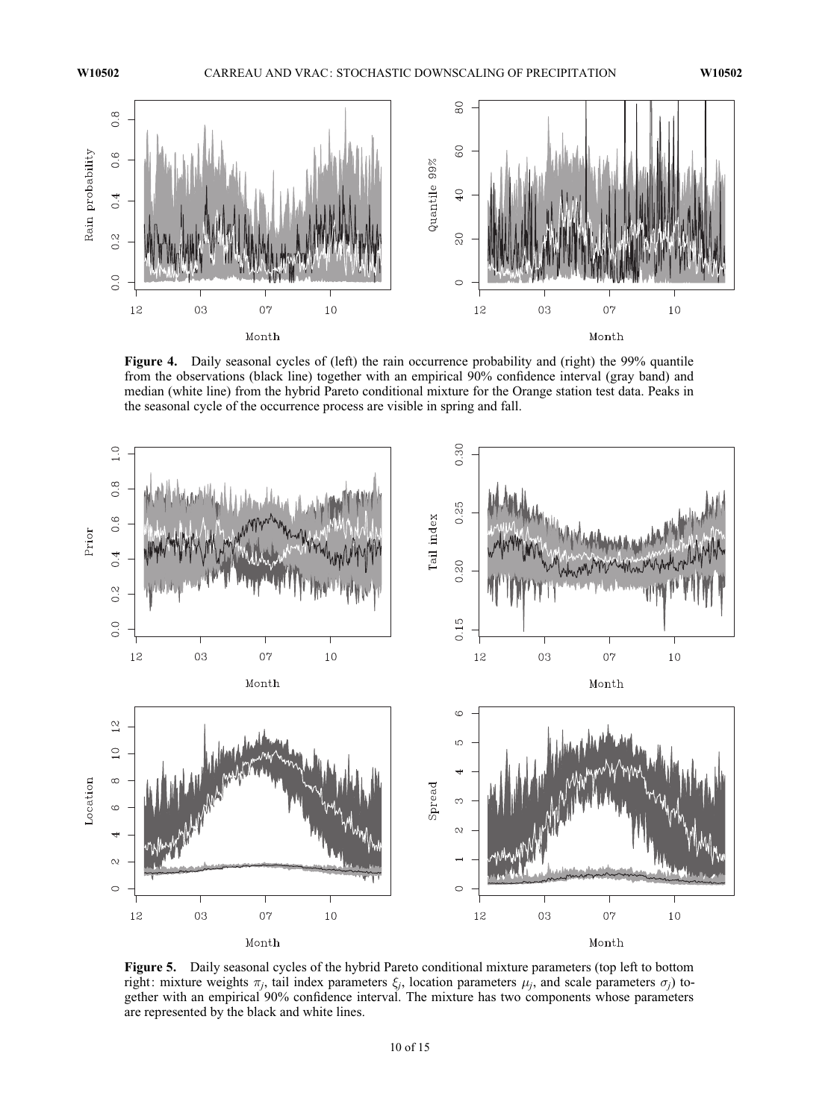

Figure 4. Daily seasonal cycles of (left) the rain occurrence probability and (right) the 99% quantile from the observations (black line) together with an empirical 90% confidence interval (gray band) and median (white line) from the hybrid Pareto conditional mixture for the Orange station test data. Peaks in the seasonal cycle of the occurrence process are visible in spring and fall.



**Figure 5.** Daily seasonal cycles of the hybrid Pareto conditional mixture parameters (top left to bottom right: mixture weights  $\pi_j$ , tail index parameters  $\xi_j$ , location parameters  $\mu_j$ , and scale parameters  $\sigma_j$ ) together with an empirical 90% confidence interval. The mixture has two components whose parameters are represented by the black and white lines.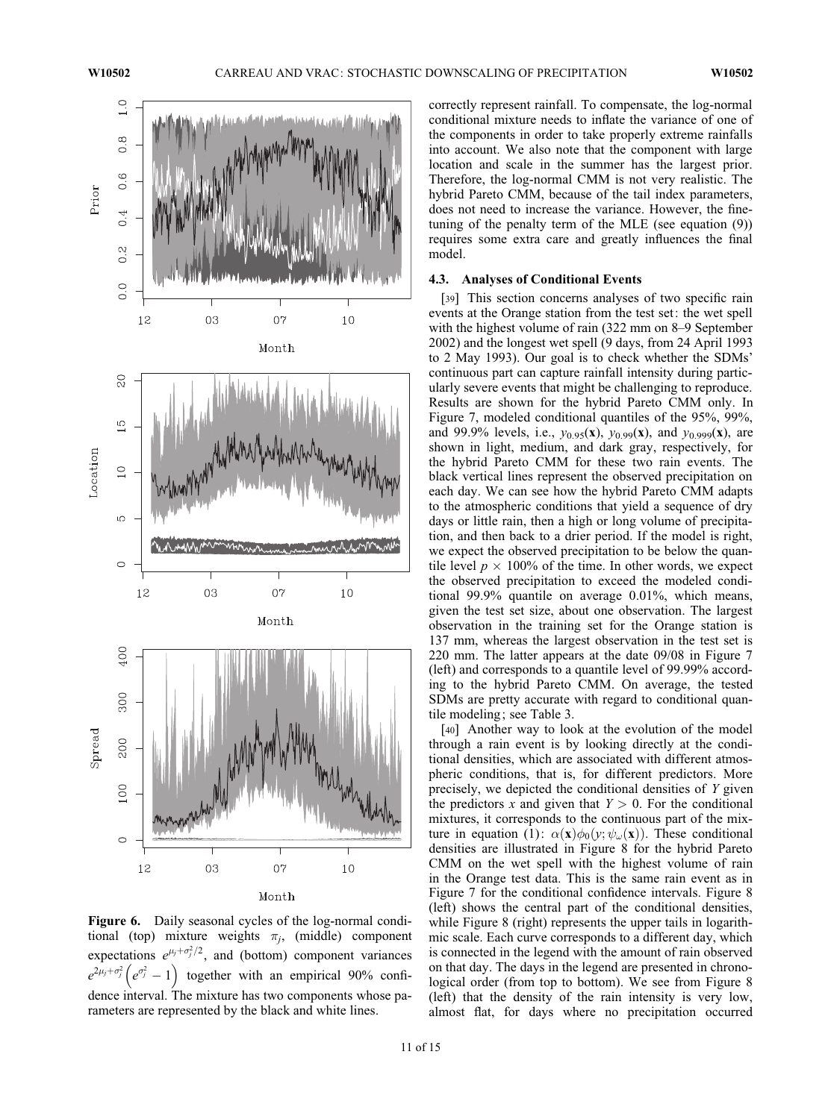

**Figure 6.** Daily seasonal cycles of the log-normal conditional (top) mixture weights  $\pi_j$ , (middle) component expectations  $e^{\mu_j + \sigma_j^2/2}$ , and (bottom) component variances  $e^{2\mu_j + \sigma_j^2} \left( e^{\sigma_j^2} - 1 \right)$  together with an empirical 90% confidence interval. The mixture has two components whose parameters are represented by the black and white lines.

correctly represent rainfall. To compensate, the log-normal conditional mixture needs to inflate the variance of one of the components in order to take properly extreme rainfalls into account. We also note that the component with large location and scale in the summer has the largest prior. Therefore, the log-normal CMM is not very realistic. The hybrid Pareto CMM, because of the tail index parameters, does not need to increase the variance. However, the finetuning of the penalty term of the MLE (see equation (9)) requires some extra care and greatly influences the final model.

# **4.3. Analyses of Conditional Events**

[39] This section concerns analyses of two specific rain events at the Orange station from the test set: the wet spell with the highest volume of rain (322 mm on 8–9 September 2002) and the longest wet spell (9 days, from 24 April 1993 to 2 May 1993). Our goal is to check whether the SDMs' continuous part can capture rainfall intensity during particularly severe events that might be challenging to reproduce. Results are shown for the hybrid Pareto CMM only. In Figure 7, modeled conditional quantiles of the 95%, 99%, and 99.9% levels, i.e.,  $y_{0.95}(x)$ ,  $y_{0.99}(x)$ , and  $y_{0.999}(x)$ , are shown in light, medium, and dark gray, respectively, for the hybrid Pareto CMM for these two rain events. The black vertical lines represent the observed precipitation on each day. We can see how the hybrid Pareto CMM adapts to the atmospheric conditions that yield a sequence of dry days or little rain, then a high or long volume of precipitation, and then back to a drier period. If the model is right, we expect the observed precipitation to be below the quantile level  $p \times 100\%$  of the time. In other words, we expect the observed precipitation to exceed the modeled conditional 99.9% quantile on average 0.01%, which means, given the test set size, about one observation. The largest observation in the training set for the Orange station is 137 mm, whereas the largest observation in the test set is 220 mm. The latter appears at the date 09/08 in Figure 7 (left) and corresponds to a quantile level of 99.99% according to the hybrid Pareto CMM. On average, the tested SDMs are pretty accurate with regard to conditional quantile modeling; see Table 3.

[40] Another way to look at the evolution of the model through a rain event is by looking directly at the conditional densities, which are associated with different atmospheric conditions, that is, for different predictors. More precisely, we depicted the conditional densities of *Y* given the predictors *x* and given that  $Y > 0$ . For the conditional mixtures, it corresponds to the continuous part of the mixture in equation (1):  $\alpha(\mathbf{x})\phi_0(y; \psi_\omega(\mathbf{x}))$ . These conditional densities are illustrated in Figure 8 for the hybrid Pareto CMM on the wet spell with the highest volume of rain in the Orange test data. This is the same rain event as in Figure 7 for the conditional confidence intervals. Figure 8 (left) shows the central part of the conditional densities, while Figure 8 (right) represents the upper tails in logarithmic scale. Each curve corresponds to a different day, which is connected in the legend with the amount of rain observed on that day. The days in the legend are presented in chronological order (from top to bottom). We see from Figure 8 (left) that the density of the rain intensity is very low, almost flat, for days where no precipitation occurred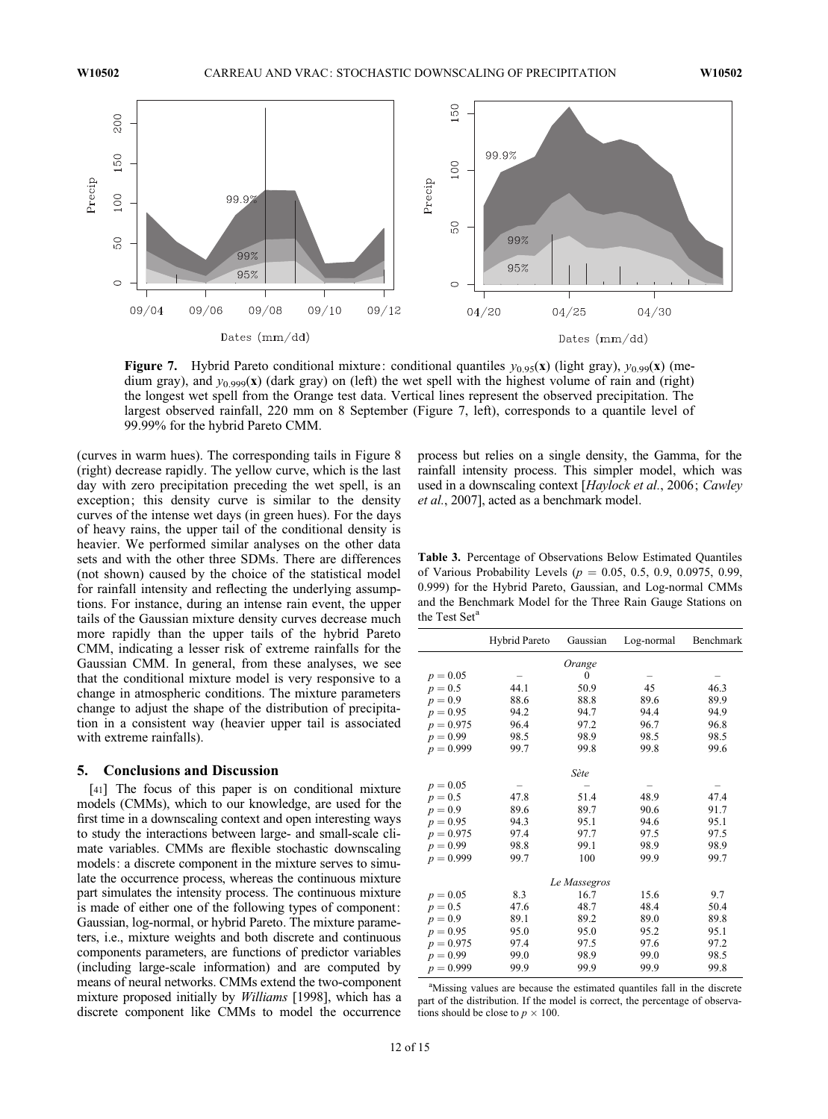

**Figure 7.** Hybrid Pareto conditional mixture: conditional quantiles  $y_{0.95}(\mathbf{x})$  (light gray),  $y_{0.99}(\mathbf{x})$  (medium gray), and  $y_0$ <sub>999</sub>(**x**) (dark gray) on (left) the wet spell with the highest volume of rain and (right) the longest wet spell from the Orange test data. Vertical lines represent the observed precipitation. The largest observed rainfall, 220 mm on 8 September (Figure 7, left), corresponds to a quantile level of 99.99% for the hybrid Pareto CMM.

(curves in warm hues). The corresponding tails in Figure 8 (right) decrease rapidly. The yellow curve, which is the last day with zero precipitation preceding the wet spell, is an exception; this density curve is similar to the density curves of the intense wet days (in green hues). For the days of heavy rains, the upper tail of the conditional density is heavier. We performed similar analyses on the other data sets and with the other three SDMs. There are differences (not shown) caused by the choice of the statistical model for rainfall intensity and reflecting the underlying assumptions. For instance, during an intense rain event, the upper tails of the Gaussian mixture density curves decrease much more rapidly than the upper tails of the hybrid Pareto CMM, indicating a lesser risk of extreme rainfalls for the Gaussian CMM. In general, from these analyses, we see that the conditional mixture model is very responsive to a change in atmospheric conditions. The mixture parameters change to adjust the shape of the distribution of precipitation in a consistent way (heavier upper tail is associated with extreme rainfalls).

## **5. Conclusions and Discussion**

[41] The focus of this paper is on conditional mixture models (CMMs), which to our knowledge, are used for the first time in a downscaling context and open interesting ways to study the interactions between large- and small-scale climate variables. CMMs are flexible stochastic downscaling models: a discrete component in the mixture serves to simulate the occurrence process, whereas the continuous mixture part simulates the intensity process. The continuous mixture is made of either one of the following types of component: Gaussian, log-normal, or hybrid Pareto. The mixture parameters, i.e., mixture weights and both discrete and continuous components parameters, are functions of predictor variables (including large-scale information) and are computed by means of neural networks. CMMs extend the two-component mixture proposed initially by *Williams* [1998], which has a discrete component like CMMs to model the occurrence process but relies on a single density, the Gamma, for the rainfall intensity process. This simpler model, which was used in a downscaling context [*Haylock et al.*, 2006; *Cawley et al.*, 2007], acted as a benchmark model.

**Table 3.** Percentage of Observations Below Estimated Quantiles of Various Probability Levels ( $p = 0.05, 0.5, 0.9, 0.0975, 0.99$ , 0.999) for the Hybrid Pareto, Gaussian, and Log-normal CMMs and the Benchmark Model for the Three Rain Gauge Stations on the Test Set<sup>a</sup>

|              | Hybrid Pareto | Gaussian     | Log-normal | Benchmark |  |  |  |
|--------------|---------------|--------------|------------|-----------|--|--|--|
| Orange       |               |              |            |           |  |  |  |
| $p = 0.05$   |               | $\mathbf{0}$ |            |           |  |  |  |
| $p = 0.5$    | 44.1          | 50.9         | 45         | 46.3      |  |  |  |
| $p = 0.9$    | 88.6          | 88.8         | 89.6       | 89.9      |  |  |  |
| $p = 0.95$   | 94.2          | 94.7         | 94.4       | 94.9      |  |  |  |
| $p = 0.975$  | 96.4          | 97.2         | 96.7       | 96.8      |  |  |  |
| $p = 0.99$   | 98.5          | 98.9         | 98.5       | 98.5      |  |  |  |
| $p = 0.999$  | 99.7          | 99.8         | 99.8       | 99.6      |  |  |  |
| Sète         |               |              |            |           |  |  |  |
| $p = 0.05$   |               |              |            |           |  |  |  |
| $p = 0.5$    | 47.8          | 51.4         | 48.9       | 47.4      |  |  |  |
| $p = 0.9$    | 89.6          | 89.7         | 90.6       | 91.7      |  |  |  |
| $p = 0.95$   | 94.3          | 95.1         | 94.6       | 95.1      |  |  |  |
| $p = 0.975$  | 97.4          | 97.7         | 97.5       | 97.5      |  |  |  |
| $p = 0.99$   | 98.8          | 99.1         | 98.9       | 98.9      |  |  |  |
| $p = 0.999$  | 99.7          | 100          | 99.9       | 99.7      |  |  |  |
| Le Massegros |               |              |            |           |  |  |  |
| $p = 0.05$   | 8.3           | 16.7         | 15.6       | 9.7       |  |  |  |
| $p = 0.5$    | 47.6          | 48.7         | 48.4       | 50.4      |  |  |  |
| $p = 0.9$    | 89.1          | 89.2         | 89.0       | 89.8      |  |  |  |
| $p = 0.95$   | 95.0          | 95.0         | 95.2       | 95.1      |  |  |  |
| $p = 0.975$  | 97.4          | 97.5         | 97.6       | 97.2      |  |  |  |
| $p = 0.99$   | 99.0          | 98.9         | 99.0       | 98.5      |  |  |  |
| $p = 0.999$  | 99.9          | 99.9         | 99.9       | 99.8      |  |  |  |

<sup>a</sup>Missing values are because the estimated quantiles fall in the discrete part of the distribution. If the model is correct, the percentage of observations should be close to  $p \times 100$ .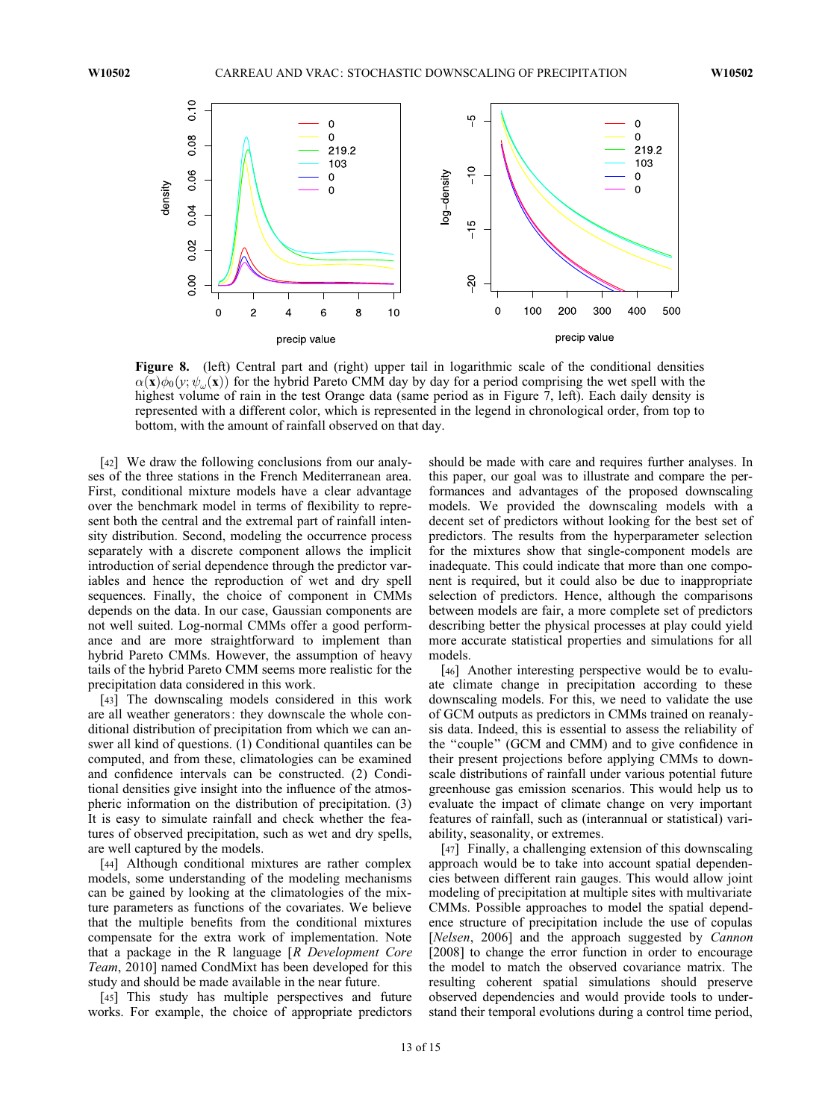

**Figure 8.** (left) Central part and (right) upper tail in logarithmic scale of the conditional densities  $\alpha(\mathbf{x})\phi_0(y;\psi_\omega(\mathbf{x}))$  for the hybrid Pareto CMM day by day for a period comprising the wet spell with the highest volume of rain in the test Orange data (same period as in Figure 7, left). Each daily density is represented with a different color, which is represented in the legend in chronological order, from top to bottom, with the amount of rainfall observed on that day.

[42] We draw the following conclusions from our analyses of the three stations in the French Mediterranean area. First, conditional mixture models have a clear advantage over the benchmark model in terms of flexibility to represent both the central and the extremal part of rainfall intensity distribution. Second, modeling the occurrence process separately with a discrete component allows the implicit introduction of serial dependence through the predictor variables and hence the reproduction of wet and dry spell sequences. Finally, the choice of component in CMMs depends on the data. In our case, Gaussian components are not well suited. Log-normal CMMs offer a good performance and are more straightforward to implement than hybrid Pareto CMMs. However, the assumption of heavy tails of the hybrid Pareto CMM seems more realistic for the precipitation data considered in this work.

[43] The downscaling models considered in this work are all weather generators: they downscale the whole conditional distribution of precipitation from which we can answer all kind of questions. (1) Conditional quantiles can be computed, and from these, climatologies can be examined and confidence intervals can be constructed. (2) Conditional densities give insight into the influence of the atmospheric information on the distribution of precipitation. (3) It is easy to simulate rainfall and check whether the features of observed precipitation, such as wet and dry spells, are well captured by the models.

[44] Although conditional mixtures are rather complex models, some understanding of the modeling mechanisms can be gained by looking at the climatologies of the mixture parameters as functions of the covariates. We believe that the multiple benefits from the conditional mixtures compensate for the extra work of implementation. Note that a package in the R language [*R Development Core Team*, 2010] named CondMixt has been developed for this study and should be made available in the near future.

[45] This study has multiple perspectives and future works. For example, the choice of appropriate predictors

should be made with care and requires further analyses. In this paper, our goal was to illustrate and compare the performances and advantages of the proposed downscaling models. We provided the downscaling models with a decent set of predictors without looking for the best set of predictors. The results from the hyperparameter selection for the mixtures show that single-component models are inadequate. This could indicate that more than one component is required, but it could also be due to inappropriate selection of predictors. Hence, although the comparisons between models are fair, a more complete set of predictors describing better the physical processes at play could yield more accurate statistical properties and simulations for all models.

[46] Another interesting perspective would be to evaluate climate change in precipitation according to these downscaling models. For this, we need to validate the use of GCM outputs as predictors in CMMs trained on reanalysis data. Indeed, this is essential to assess the reliability of the ''couple'' (GCM and CMM) and to give confidence in their present projections before applying CMMs to downscale distributions of rainfall under various potential future greenhouse gas emission scenarios. This would help us to evaluate the impact of climate change on very important features of rainfall, such as (interannual or statistical) variability, seasonality, or extremes.

[47] Finally, a challenging extension of this downscaling approach would be to take into account spatial dependencies between different rain gauges. This would allow joint modeling of precipitation at multiple sites with multivariate CMMs. Possible approaches to model the spatial dependence structure of precipitation include the use of copulas [*Nelsen*, 2006] and the approach suggested by *Cannon* [2008] to change the error function in order to encourage the model to match the observed covariance matrix. The resulting coherent spatial simulations should preserve observed dependencies and would provide tools to understand their temporal evolutions during a control time period,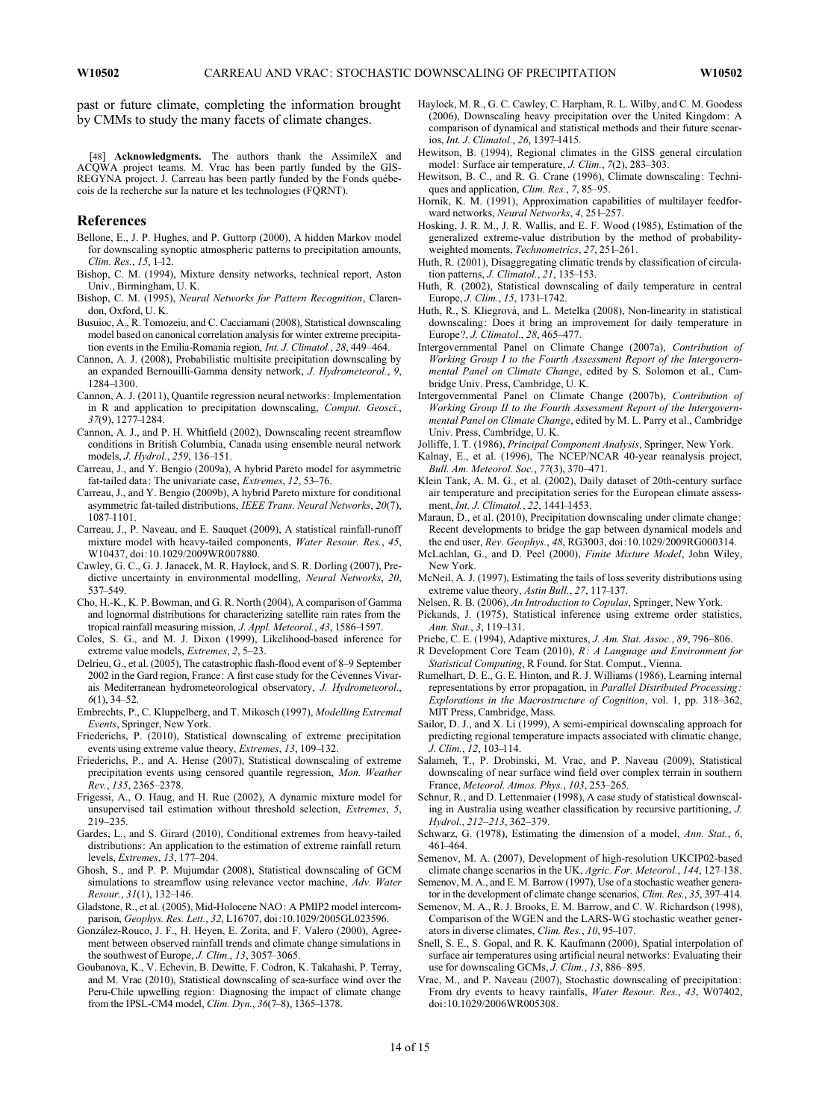past or future climate, completing the information brought by CMMs to study the many facets of climate changes.

[48] **Acknowledgments.** The authors thank the AssimileX and ACQWA project teams. M. Vrac has been partly funded by the GIS-REGYNA project. J. Carreau has been partly funded by the Fonds québecois de la recherche sur la nature et les technologies (FQRNT).

### **References**

- Bellone, E., J. P. Hughes, and P. Guttorp (2000), A hidden Markov model for downscaling synoptic atmospheric patterns to precipitation amounts, *Clim. Res.*, *15*, 1–12.
- Bishop, C. M. (1994), Mixture density networks, technical report, Aston Univ., Birmingham, U. K.
- Bishop, C. M. (1995), *Neural Networks for Pattern Recognition*, Clarendon, Oxford, U. K.
- Busuioc, A., R. Tomozeiu, and C. Cacciamani (2008), Statistical downscaling model based on canonical correlation analysis for winter extreme precipitation events in the Emilia-Romania region, *Int. J. Climatol.*, *28*, 449–464.
- Cannon, A. J. (2008), Probabilistic multisite precipitation downscaling by an expanded Bernouilli-Gamma density network, *J. Hydrometeorol.*, *9*, 1284–1300.
- Cannon, A. J. (2011), Quantile regression neural networks: Implementation in R and application to precipitation downscaling, *Comput. Geosci.*, *37*(9), 1277–1284.
- Cannon, A. J., and P. H. Whitfield (2002), Downscaling recent streamflow conditions in British Columbia, Canada using ensemble neural network models, *J. Hydrol.*, *259*, 136–151.
- Carreau, J., and Y. Bengio (2009a), A hybrid Pareto model for asymmetric fat-tailed data: The univariate case, *Extremes*, *12*, 53–76.
- Carreau, J., and Y. Bengio (2009b), A hybrid Pareto mixture for conditional asymmetric fat-tailed distributions, *IEEE Trans. Neural Networks*, *20*(7), 1087–1101.
- Carreau, J., P. Naveau, and E. Sauquet (2009), A statistical rainfall-runoff mixture model with heavy-tailed components, *Water Resour. Res.*, *45*, W10437, doi:10.1029/2009WR007880.
- Cawley, G. C., G. J. Janacek, M. R. Haylock, and S. R. Dorling (2007), Predictive uncertainty in environmental modelling, *Neural Networks*, *20*, 537–549.
- Cho, H.-K., K. P. Bowman, and G. R. North (2004), A comparison of Gamma and lognormal distributions for characterizing satellite rain rates from the tropical rainfall measuring mission, *J. Appl. Meteorol.*, *43*, 1586–1597.
- Coles, S. G., and M. J. Dixon (1999), Likelihood-based inference for extreme value models, *Extremes*, *2*, 5–23.
- Delrieu, G., et al. (2005), The catastrophic flash-flood event of 8–9 September 2002 in the Gard region, France: A first case study for the Cévennes Vivarais Mediterranean hydrometeorological observatory, *J. Hydrometeorol.*, *6*(1), 34–52.
- Embrechts, P., C. Kluppelberg, and T. Mikosch (1997), *Modelling Extremal Events*, Springer, New York.
- Friederichs, P. (2010), Statistical downscaling of extreme precipitation events using extreme value theory, *Extremes*, *13*, 109–132.
- Friederichs, P., and A. Hense (2007), Statistical downscaling of extreme precipitation events using censored quantile regression, *Mon. Weather Rev.*, *135*, 2365–2378.
- Frigessi, A., O. Haug, and H. Rue (2002), A dynamic mixture model for unsupervised tail estimation without threshold selection, *Extremes*, *5*, 219–235.
- Gardes, L., and S. Girard (2010), Conditional extremes from heavy-tailed distributions: An application to the estimation of extreme rainfall return levels, *Extremes*, *13*, 177–204.
- Ghosh, S., and P. P. Mujumdar (2008), Statistical downscaling of GCM simulations to streamflow using relevance vector machine, *Adv. Water Resour.*, *31*(1), 132–146.
- Gladstone, R., et al. (2005), Mid-Holocene NAO: A PMIP2 model intercomparison, *Geophys. Res. Lett.*, *32*, L16707, doi:10.1029/2005GL023596.
- González-Rouco, J. F., H. Heyen, E. Zorita, and F. Valero (2000), Agreement between observed rainfall trends and climate change simulations in the southwest of Europe, *J. Clim.*, *13*, 3057–3065.
- Goubanova, K., V. Echevin, B. Dewitte, F. Codron, K. Takahashi, P. Terray, and M. Vrac (2010), Statistical downscaling of sea-surface wind over the Peru-Chile upwelling region: Diagnosing the impact of climate change from the IPSL-CM4 model, *Clim. Dyn.*, *36*(7–8), 1365–1378.
- Haylock, M. R., G. C. Cawley, C. Harpham, R. L. Wilby, and C. M. Goodess (2006), Downscaling heavy precipitation over the United Kingdom: A comparison of dynamical and statistical methods and their future scenarios, *Int. J. Climatol.*, *26*, 1397–1415.
- Hewitson, B. (1994), Regional climates in the GISS general circulation model: Surface air temperature, *J. Clim.*, *7*(2), 283–303.
- Hewitson, B. C., and R. G. Crane (1996), Climate downscaling: Techniques and application, *Clim. Res.*, *7*, 85–95.
- Hornik, K. M. (1991), Approximation capabilities of multilayer feedforward networks, *Neural Networks*, *4*, 251–257.
- Hosking, J. R. M., J. R. Wallis, and E. F. Wood (1985), Estimation of the generalized extreme-value distribution by the method of probabilityweighted moments, *Technometrics*, *27*, 251–261.
- Huth, R. (2001), Disaggregating climatic trends by classification of circulation patterns, *J. Climatol.*, *21*, 135–153.
- Huth, R. (2002), Statistical downscaling of daily temperature in central Europe, *J. Clim.*, *15*, 1731–1742.
- Huth, R., S. Kliegrová, and L. Metelka (2008), Non-linearity in statistical downscaling: Does it bring an improvement for daily temperature in Europe?, *J. Climatol.*, *28*, 465–477.
- Intergovernmental Panel on Climate Change (2007a), *Contribution of Working Group I to the Fourth Assessment Report of the Intergovernmental Panel on Climate Change*, edited by S. Solomon et al., Cambridge Univ. Press, Cambridge, U. K.
- Intergovernmental Panel on Climate Change (2007b), *Contribution of Working Group II to the Fourth Assessment Report of the Intergovernmental Panel on Climate Change*, edited by M. L. Parry et al., Cambridge Univ. Press, Cambridge, U. K.
- Jolliffe, I. T. (1986), *Principal Component Analysis*, Springer, New York.
- Kalnay, E., et al. (1996), The NCEP/NCAR 40-year reanalysis project, *Bull. Am. Meteorol. Soc.*, *77*(3), 370–471.
- Klein Tank, A. M. G., et al. (2002), Daily dataset of 20th-century surface air temperature and precipitation series for the European climate assessment, *Int. J. Climatol.*, *22*, 1441–1453.
- Maraun, D., et al. (2010), Precipitation downscaling under climate change: Recent developments to bridge the gap between dynamical models and the end user, *Rev. Geophys.*, *48*, RG3003, doi:10.1029/2009RG000314.
- McLachlan, G., and D. Peel (2000), *Finite Mixture Model*, John Wiley, New York.
- McNeil, A. J. (1997), Estimating the tails of loss severity distributions using extreme value theory, *Astin Bull.*, *27*, 117–137.
- Nelsen, R. B. (2006), *An Introduction to Copulas*, Springer, New York.
- Pickands, J. (1975), Statistical inference using extreme order statistics, *Ann. Stat.*, *3*, 119–131.
- Priebe, C. E. (1994), Adaptive mixtures, *J. Am. Stat. Assoc.*, *89*, 796–806.
- R Development Core Team (2010), *R: A Language and Environment for Statistical Computing*, R Found. for Stat. Comput., Vienna.
- Rumelhart, D. E., G. E. Hinton, and R. J. Williams (1986), Learning internal representations by error propagation, in *Parallel Distributed Processing: Explorations in the Macrostructure of Cognition*, vol. 1, pp. 318–362, MIT Press, Cambridge, Mass.
- Sailor, D. J., and X. Li (1999), A semi-empirical downscaling approach for predicting regional temperature impacts associated with climatic change, *J. Clim.*, *12*, 103–114.
- Salameh, T., P. Drobinski, M. Vrac, and P. Naveau (2009), Statistical downscaling of near surface wind field over complex terrain in southern France, *Meteorol. Atmos. Phys.*, *103*, 253–265.
- Schnur, R., and D. Lettenmaier (1998), A case study of statistical downscaling in Australia using weather classification by recursive partitioning, *J. Hydrol.*, *212–213*, 362–379.
- Schwarz, G. (1978), Estimating the dimension of a model, *Ann. Stat.*, *6*, 461–464.
- Semenov, M. A. (2007), Development of high-resolution UKCIP02-based climate change scenarios in the UK, *Agric. For. Meteorol.*, *144*, 127–138.
- Semenov, M. A., and E. M. Barrow (1997), Use of a stochastic weather generator in the development of climate change scenarios, *Clim. Res.*, *35*, 397–414.
- Semenov, M. A., R. J. Brooks, E. M. Barrow, and C. W. Richardson (1998), Comparison of the WGEN and the LARS-WG stochastic weather generators in diverse climates, *Clim. Res.*, *10*, 95–107.
- Snell, S. E., S. Gopal, and R. K. Kaufmann (2000), Spatial interpolation of surface air temperatures using artificial neural networks: Evaluating their use for downscaling GCMs, *J. Clim.*, *13*, 886–895.
- Vrac, M., and P. Naveau (2007), Stochastic downscaling of precipitation: From dry events to heavy rainfalls, *Water Resour. Res.*, *43*, W07402, doi:10.1029/2006WR005308.